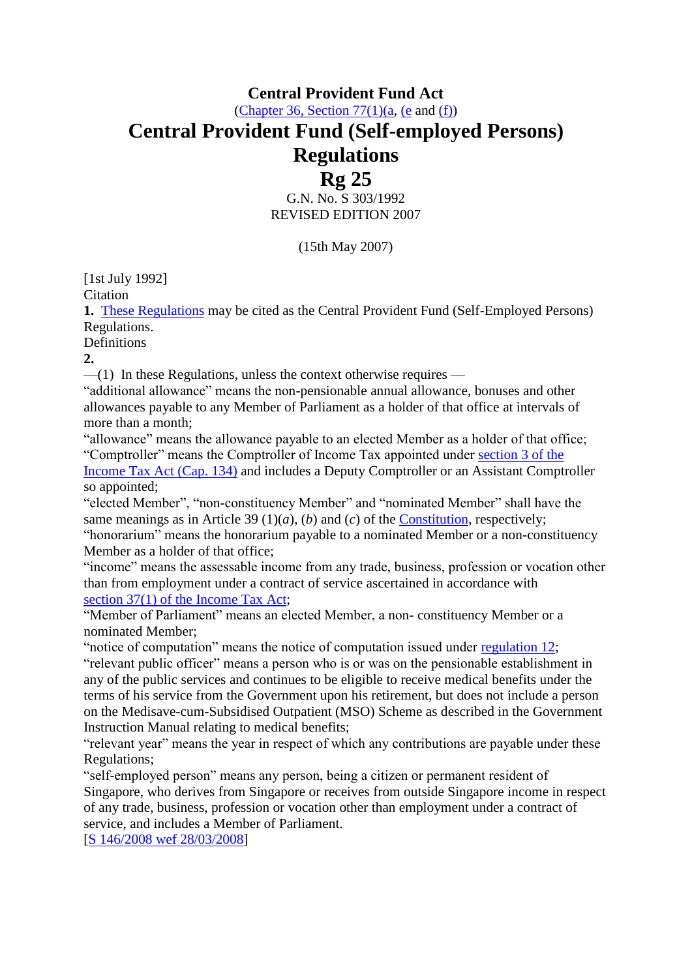# **Central Provident Fund Act**

[\(Chapter 36, Section](http://statutes.agc.gov.sg/aol/search/display/view.w3p;page=0;query=DocId%3A%22f1b7803c-71dd-4732-b7f0-231fef8142ca%22%20Status%3Ainforce%20Depth%3A0;rec=0#pr77-ps1-p1a-.)  $77(1)(a)$ , [\(e](http://statutes.agc.gov.sg/aol/search/display/view.w3p;page=0;query=DocId%3A%22f1b7803c-71dd-4732-b7f0-231fef8142ca%22%20Status%3Ainforce%20Depth%3A0;rec=0#pr77-ps1-p1e-.) and [\(f\)\)](http://statutes.agc.gov.sg/aol/search/display/view.w3p;page=0;query=DocId%3A%22f1b7803c-71dd-4732-b7f0-231fef8142ca%22%20Status%3Ainforce%20Depth%3A0;rec=0#pr77-ps1-p1f-.)

# **Central Provident Fund (Self-employed Persons) Regulations**

## **Rg 25** G.N. No. S 303/1992 REVISED EDITION 2007

(15th May 2007)

[1st July 1992]

Citation

**1.** [These Regulations](http://statutes.agc.gov.sg/aol/search/display/view.w3p;page=0;query=DocId%3A%22319e4968-a4ea-4b58-8999-3c1dec78a965%22%20Status%3Ainforce%20Depth%3A0;rec=0) may be cited as the Central Provident Fund (Self-Employed Persons) Regulations.

**Definitions** 

**2.**

 $-$ (1) In these Regulations, unless the context otherwise requires  $-$ 

"additional allowance" means the non-pensionable annual allowance, bonuses and other allowances payable to any Member of Parliament as a holder of that office at intervals of more than a month;

"allowance" means the allowance payable to an elected Member as a holder of that office; "Comptroller" means the Comptroller of Income Tax appointed under section [3 of the](http://statutes.agc.gov.sg/aol/search/display/view.w3p;page=0;query=DocId%3A%2245fc380e-12d4-4935-b138-c42dc45d377c%22%20Status%3Ainforce%20Depth%3A0;rec=0#pr3-.)  [Income Tax Act \(Cap. 134\)](http://statutes.agc.gov.sg/aol/search/display/view.w3p;page=0;query=DocId%3A%2245fc380e-12d4-4935-b138-c42dc45d377c%22%20Status%3Ainforce%20Depth%3A0;rec=0) and includes a Deputy Comptroller or an Assistant Comptroller so appointed;

"elected Member", "non-constituency Member" and "nominated Member" shall have the same meanings as in Article 39 (1)(*a*), (*b*) and (*c*) of the [Constitution,](http://statutes.agc.gov.sg/aol/search/display/view.w3p;page=0;query=DocId%3A%22cf2412ff-fca5-4a64-a8ef-b95b8987728e%22%20Status%3Ainforce%20Depth%3A0;rec=0) respectively;

"honorarium" means the honorarium payable to a nominated Member or a non-constituency Member as a holder of that office;

"income" means the assessable income from any trade, business, profession or vocation other than from employment under a contract of service ascertained in accordance with section [37\(1\) of the Income Tax Act;](http://statutes.agc.gov.sg/aol/search/display/view.w3p;page=0;query=DocId%3A%2245fc380e-12d4-4935-b138-c42dc45d377c%22%20Status%3Ainforce%20Depth%3A0;rec=0#pr37-ps1-.)

"Member of Parliament" means an elected Member, a non- constituency Member or a nominated Member;

"notice of computation" means the notice of computation issued under [regulation](http://statutes.agc.gov.sg/aol/search/display/view.w3p;page=0;query=Id%3A%2201663d67-85d8-4c04-874e-4fd229d411d6%22%20Status%3Ainforce;rec=0#pr12-.) 12; "relevant public officer" means a person who is or was on the pensionable establishment in any of the public services and continues to be eligible to receive medical benefits under the terms of his service from the Government upon his retirement, but does not include a person on the Medisave-cum-Subsidised Outpatient (MSO) Scheme as described in the Government Instruction Manual relating to medical benefits;

"relevant year" means the year in respect of which any contributions are payable under these Regulations;

"self-employed person" means any person, being a citizen or permanent resident of Singapore, who derives from Singapore or receives from outside Singapore income in respect of any trade, business, profession or vocation other than employment under a contract of service, and includes a Member of Parliament.

[\[S 146/2008 wef 28/03/2008\]](http://statutes.agc.gov.sg/aol/search/display/view.w3p;page=0;query=DocId%3A%22fdab1372-6c84-4e24-83f1-5a688bd3c772%22%20Status%3Apublished%20Depth%3A0%20TransactionTime%3A20130521000000;rec=0)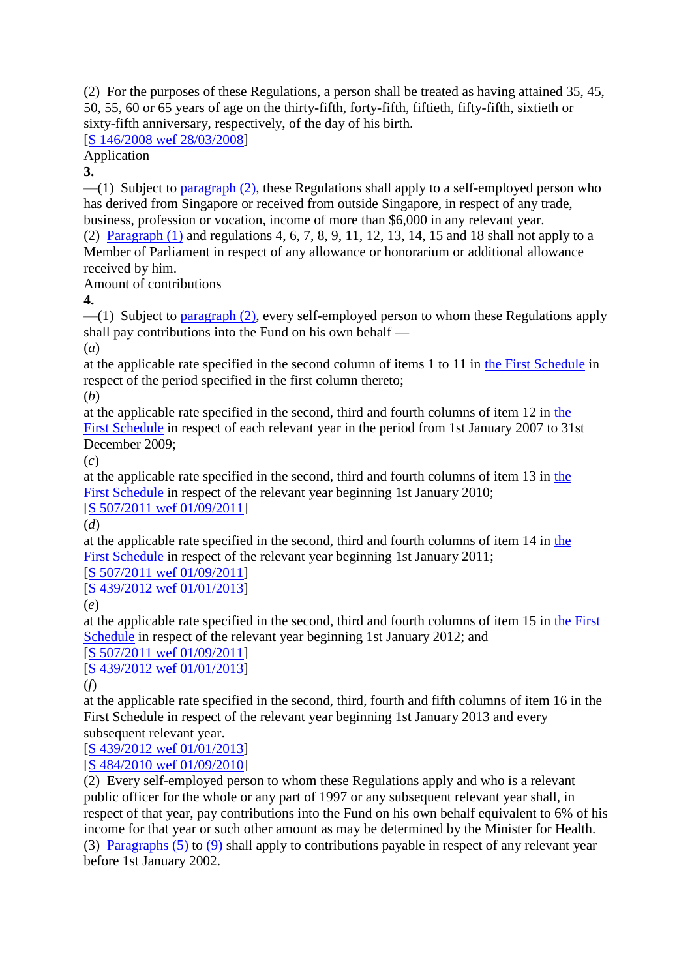(2) For the purposes of these Regulations, a person shall be treated as having attained 35, 45, 50, 55, 60 or 65 years of age on the thirty-fifth, forty-fifth, fiftieth, fifty-fifth, sixtieth or sixty-fifth anniversary, respectively, of the day of his birth.

#### [\[S 146/2008 wef 28/03/2008\]](http://statutes.agc.gov.sg/aol/search/display/view.w3p;page=0;query=DocId%3A%22fdab1372-6c84-4e24-83f1-5a688bd3c772%22%20Status%3Apublished%20Depth%3A0%20TransactionTime%3A20130521000000;rec=0)

Application

**3.**

 $-$ (1) Subject to [paragraph](http://statutes.agc.gov.sg/aol/search/display/view.w3p;page=0;query=Id%3A%22a1be42f1-637d-45e4-8022-572048ab5395%22%20Status%3Ainforce;rec=0#pr3-ps2-.) (2), these Regulations shall apply to a self-employed person who has derived from Singapore or received from outside Singapore, in respect of any trade, business, profession or vocation, income of more than \$6,000 in any relevant year. (2) [Paragraph](http://statutes.agc.gov.sg/aol/search/display/view.w3p;page=0;query=Id%3A%220bf236c8-8514-43c3-8bb0-e5269ef4066b%22%20Status%3Ainforce;rec=0#pr3-ps1-.) (1) and regulations 4, 6, 7, 8, 9, 11, 12, 13, 14, 15 and 18 shall not apply to a Member of Parliament in respect of any allowance or honorarium or additional allowance received by him.

Amount of contributions

**4.**

—(1) Subject to [paragraph](http://statutes.agc.gov.sg/aol/search/display/view.w3p;page=0;query=Id%3A%22f99bc336-41bc-4ede-b2f8-28025d902840%22%20Status%3Ainforce;rec=0#pr4-ps2-.) (2), every self-employed person to whom these Regulations apply shall pay contributions into the Fund on his own behalf —

(*a*)

at the applicable rate specified in the second column of items 1 to 11 in the First [Schedule](http://statutes.agc.gov.sg/aol/search/display/view.w3p;page=0;query=Id%3A%227a057164-5df4-452f-b2a1-3c7fab434651%22%20Status%3Ainforce;rec=0#Sc1-.) in respect of the period specified in the first column thereto;

(*b*)

at the applicable rate specified in the second, third and fourth columns of item 12 in [the](http://statutes.agc.gov.sg/aol/search/display/view.w3p;page=0;query=Id%3A%227a057164-5df4-452f-b2a1-3c7fab434651%22%20Status%3Ainforce;rec=0#Sc1-.)  First [Schedule](http://statutes.agc.gov.sg/aol/search/display/view.w3p;page=0;query=Id%3A%227a057164-5df4-452f-b2a1-3c7fab434651%22%20Status%3Ainforce;rec=0#Sc1-.) in respect of each relevant year in the period from 1st January 2007 to 31st December 2009;

(*c*)

at the applicable rate specified in the second, third and fourth columns of item 13 in [the](http://statutes.agc.gov.sg/aol/search/display/view.w3p;page=0;query=Id%3A%227a057164-5df4-452f-b2a1-3c7fab434651%22%20Status%3Ainforce;rec=0#Sc1-.)  First [Schedule](http://statutes.agc.gov.sg/aol/search/display/view.w3p;page=0;query=Id%3A%227a057164-5df4-452f-b2a1-3c7fab434651%22%20Status%3Ainforce;rec=0#Sc1-.) in respect of the relevant year beginning 1st January 2010;

[\[S 507/2011 wef 01/09/2011\]](http://statutes.agc.gov.sg/aol/search/display/view.w3p;page=0;query=DocId%3A%228e98b229-a5fb-44d9-8019-1dbefd6e49b7%22%20Status%3Apublished%20Depth%3A0%20TransactionTime%3A20130521000000;rec=0)

(*d*)

at the applicable rate specified in the second, third and fourth columns of item 14 in [the](http://statutes.agc.gov.sg/aol/search/display/view.w3p;page=0;query=Id%3A%227a057164-5df4-452f-b2a1-3c7fab434651%22%20Status%3Ainforce;rec=0#Sc1-.)  First [Schedule](http://statutes.agc.gov.sg/aol/search/display/view.w3p;page=0;query=Id%3A%227a057164-5df4-452f-b2a1-3c7fab434651%22%20Status%3Ainforce;rec=0#Sc1-.) in respect of the relevant year beginning 1st January 2011;

[\[S 507/2011 wef 01/09/2011\]](http://statutes.agc.gov.sg/aol/search/display/view.w3p;page=0;query=DocId%3A%228e98b229-a5fb-44d9-8019-1dbefd6e49b7%22%20Status%3Apublished%20Depth%3A0%20TransactionTime%3A20130521000000;rec=0)

[\[S 439/2012 wef 01/01/2013\]](http://statutes.agc.gov.sg/aol/search/display/view.w3p;page=0;query=DocId%3A%22468749d3-3e2f-489d-95b8-d65f566e5a8b%22%20Status%3Apublished%20Depth%3A0%20TransactionTime%3A20130521000000;rec=0)

(*e*)

at the applicable rate specified in the second, third and fourth columns of item 15 in [the First](http://statutes.agc.gov.sg/aol/search/display/view.w3p;page=0;query=Id%3A%227a057164-5df4-452f-b2a1-3c7fab434651%22%20Status%3Ainforce;rec=0#Sc1-.)  [Schedule](http://statutes.agc.gov.sg/aol/search/display/view.w3p;page=0;query=Id%3A%227a057164-5df4-452f-b2a1-3c7fab434651%22%20Status%3Ainforce;rec=0#Sc1-.) in respect of the relevant year beginning 1st January 2012; and

[\[S 507/2011 wef 01/09/2011\]](http://statutes.agc.gov.sg/aol/search/display/view.w3p;page=0;query=DocId%3A%228e98b229-a5fb-44d9-8019-1dbefd6e49b7%22%20Status%3Apublished%20Depth%3A0%20TransactionTime%3A20130521000000;rec=0)

[\[S 439/2012 wef](http://statutes.agc.gov.sg/aol/search/display/view.w3p;page=0;query=DocId%3A%22468749d3-3e2f-489d-95b8-d65f566e5a8b%22%20Status%3Apublished%20Depth%3A0%20TransactionTime%3A20130521000000;rec=0) 01/01/2013]

(*f*)

at the applicable rate specified in the second, third, fourth and fifth columns of item 16 in the First Schedule in respect of the relevant year beginning 1st January 2013 and every subsequent relevant year.

[\[S 439/2012 wef 01/01/2013\]](http://statutes.agc.gov.sg/aol/search/display/view.w3p;page=0;query=DocId%3A%22468749d3-3e2f-489d-95b8-d65f566e5a8b%22%20Status%3Apublished%20Depth%3A0%20TransactionTime%3A20130521000000;rec=0)

[\[S 484/2010 wef 01/09/2010\]](http://statutes.agc.gov.sg/aol/search/display/view.w3p;page=0;query=DocId%3A%22d60c07fc-8a7a-4add-b498-24e7e15ea78c%22%20Status%3Apublished%20Depth%3A0%20TransactionTime%3A20130521000000;rec=0)

(2) Every self-employed person to whom these Regulations apply and who is a relevant public officer for the whole or any part of 1997 or any subsequent relevant year shall, in respect of that year, pay contributions into the Fund on his own behalf equivalent to 6% of his income for that year or such other amount as may be determined by the Minister for Health. (3) [Paragraphs](http://statutes.agc.gov.sg/aol/search/display/view.w3p;page=0;query=Id%3A%227cc30295-d105-477f-b62d-674bad473bb5%22%20Status%3Ainforce;rec=0#pr4-ps5-.) (5) to [\(9\)](http://statutes.agc.gov.sg/aol/search/display/view.w3p;page=0;query=Id%3A%22a5463502-f133-45a6-b894-91646f0d4ea3%22%20Status%3Ainforce;rec=0#pr4-ps9-.) shall apply to contributions payable in respect of any relevant year before 1st January 2002.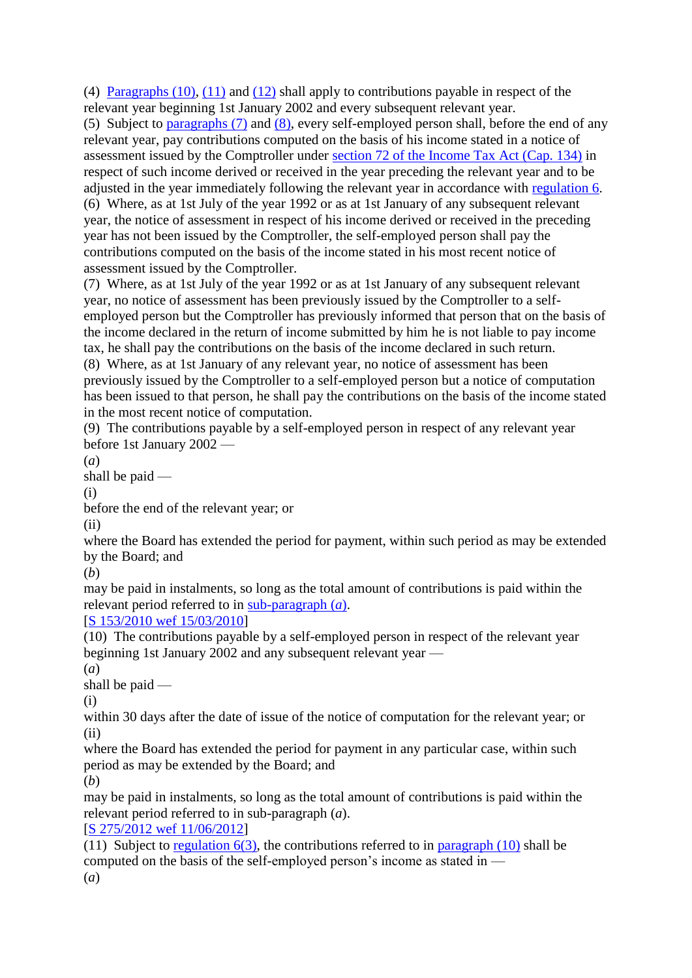(4) [Paragraphs](http://statutes.agc.gov.sg/aol/search/display/view.w3p;page=0;query=Id%3A%22b57a2db4-4ff0-49b8-b78a-c4e85b597852%22%20Status%3Ainforce;rec=0#pr4-ps10-.) (10), [\(11\)](http://statutes.agc.gov.sg/aol/search/display/view.w3p;page=0;query=Id%3A%22fb910eb8-b0ec-4599-81a2-21acc2fd81c7%22%20Status%3Ainforce;rec=0#pr4-ps11-.) and [\(12\)](http://statutes.agc.gov.sg/aol/search/display/view.w3p;page=0;query=Id%3A%225dd9d8d7-564a-4ede-bc86-8a98be6772c2%22%20Status%3Ainforce;rec=0#pr4-ps12-.) shall apply to contributions payable in respect of the relevant year beginning 1st January 2002 and every subsequent relevant year.

(5) Subject to [paragraphs](http://statutes.agc.gov.sg/aol/search/display/view.w3p;page=0;query=Id%3A%22df8184d0-76b5-4f2b-a0d6-9d2074ed9ae3%22%20Status%3Ainforce;rec=0#pr4-ps7-.) (7) and [\(8\),](http://statutes.agc.gov.sg/aol/search/display/view.w3p;page=0;query=Id%3A%22e7edc107-4225-463b-a53e-49ae4ec1c634%22%20Status%3Ainforce;rec=0#pr4-ps8-.) every self-employed person shall, before the end of any relevant year, pay contributions computed on the basis of his income stated in a notice of assessment issued by the Comptroller under section [72 of the Income Tax Act \(Cap. 134\)](http://statutes.agc.gov.sg/aol/search/display/view.w3p;page=0;query=DocId%3A%2245fc380e-12d4-4935-b138-c42dc45d377c%22%20Status%3Ainforce%20Depth%3A0;rec=0#pr72-.) in respect of such income derived or received in the year preceding the relevant year and to be adjusted in the year immediately following the relevant year in accordance with [regulation](http://statutes.agc.gov.sg/aol/search/display/view.w3p;page=0;query=Id%3A%221a556e75-0864-4c08-a2f3-debe8ef6ac53%22%20Status%3Ainforce;rec=0#pr6-.) 6. (6) Where, as at 1st July of the year 1992 or as at 1st January of any subsequent relevant year, the notice of assessment in respect of his income derived or received in the preceding year has not been issued by the Comptroller, the self-employed person shall pay the contributions computed on the basis of the income stated in his most recent notice of assessment issued by the Comptroller.

(7) Where, as at 1st July of the year 1992 or as at 1st January of any subsequent relevant year, no notice of assessment has been previously issued by the Comptroller to a selfemployed person but the Comptroller has previously informed that person that on the basis of the income declared in the return of income submitted by him he is not liable to pay income tax, he shall pay the contributions on the basis of the income declared in such return. (8) Where, as at 1st January of any relevant year, no notice of assessment has been previously issued by the Comptroller to a self-employed person but a notice of computation has been issued to that person, he shall pay the contributions on the basis of the income stated

in the most recent notice of computation.

(9) The contributions payable by a self-employed person in respect of any relevant year before 1st January 2002 —

(*a*)

shall be paid —

(i)

before the end of the relevant year; or

(ii)

where the Board has extended the period for payment, within such period as may be extended by the Board; and

(*b*)

may be paid in instalments, so long as the total amount of contributions is paid within the relevant period referred to in [sub-paragraph](http://statutes.agc.gov.sg/aol/search/display/view.w3p;page=0;query=Id%3A%2232373dec-0e4f-4193-b178-30f42ab8383c%22%20Status%3Ainforce;rec=0#pr4-ps9-p1a-.) (*a*).

#### [\[S 153/2010 wef 15/03/2010\]](http://statutes.agc.gov.sg/aol/search/display/view.w3p;page=0;query=DocId%3A%227ea6cecf-9085-461c-9b7f-00319f7725da%22%20Status%3Apublished%20Depth%3A0%20TransactionTime%3A20130521000000;rec=0)

(10) The contributions payable by a self-employed person in respect of the relevant year beginning 1st January 2002 and any subsequent relevant year —

(*a*)

shall be paid —

(i)

within 30 days after the date of issue of the notice of computation for the relevant year; or (ii)

where the Board has extended the period for payment in any particular case, within such period as may be extended by the Board; and

(*b*)

may be paid in instalments, so long as the total amount of contributions is paid within the relevant period referred to in sub-paragraph (*a*).

[\[S 275/2012 wef 11/06/2012\]](http://statutes.agc.gov.sg/aol/search/display/view.w3p;page=0;query=DocId%3A%22e7883853-5440-4aa2-963f-a712feebc5e6%22%20Status%3Apublished%20Depth%3A0%20TransactionTime%3A20130521000000;rec=0)

(11) Subject to [regulation](http://statutes.agc.gov.sg/aol/search/display/view.w3p;page=0;query=Id%3A%2207fbc72f-7ebe-4682-9d75-26534c72172a%22%20Status%3Ainforce;rec=0#pr6-ps3-.)  $6(3)$ , the contributions referred to in [paragraph](http://statutes.agc.gov.sg/aol/search/display/view.w3p;page=0;query=Id%3A%22b57a2db4-4ff0-49b8-b78a-c4e85b597852%22%20Status%3Ainforce;rec=0#pr4-ps10-.) (10) shall be computed on the basis of the self-employed person's income as stated in — (*a*)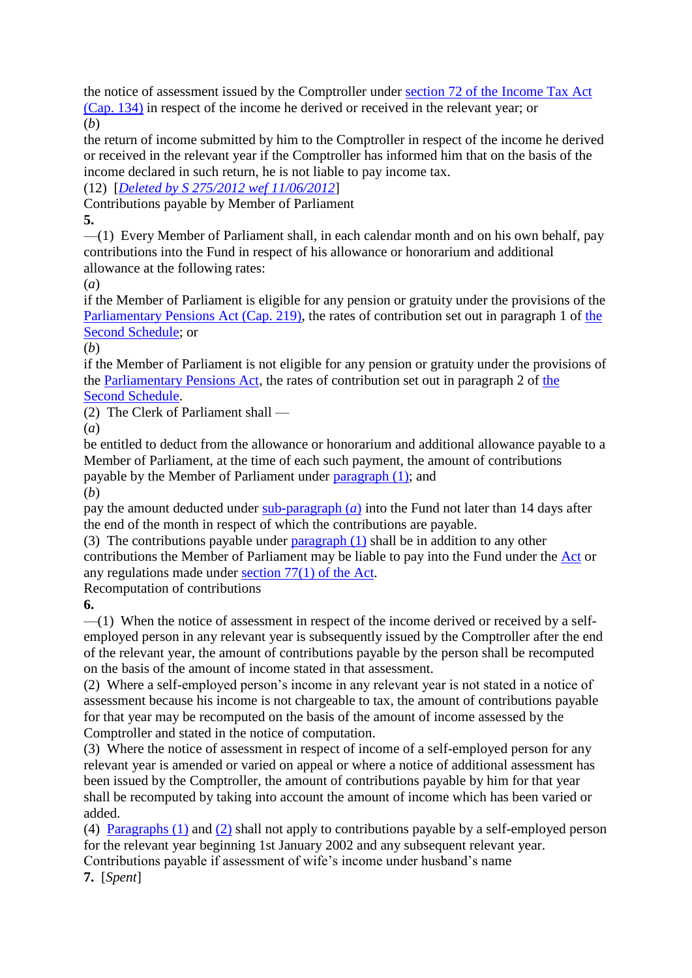the notice of assessment issued by the Comptroller under section [72 of the Income Tax Act](http://statutes.agc.gov.sg/aol/search/display/view.w3p;page=0;query=DocId%3A%2245fc380e-12d4-4935-b138-c42dc45d377c%22%20Status%3Ainforce%20Depth%3A0;rec=0#pr72-.) [\(Cap. 134\)](http://statutes.agc.gov.sg/aol/search/display/view.w3p;page=0;query=DocId%3A%2245fc380e-12d4-4935-b138-c42dc45d377c%22%20Status%3Ainforce%20Depth%3A0;rec=0) in respect of the income he derived or received in the relevant year; or (*b*)

the return of income submitted by him to the Comptroller in respect of the income he derived or received in the relevant year if the Comptroller has informed him that on the basis of the income declared in such return, he is not liable to pay income tax.

(12) [*[Deleted by S 275/2012 wef 11/06/2012](http://statutes.agc.gov.sg/aol/search/display/view.w3p;page=0;query=DocId%3A%22e7883853-5440-4aa2-963f-a712feebc5e6%22%20Status%3Apublished%20Depth%3A0%20TransactionTime%3A20130521000000;rec=0)*]

Contributions payable by Member of Parliament

**5.**

—(1) Every Member of Parliament shall, in each calendar month and on his own behalf, pay contributions into the Fund in respect of his allowance or honorarium and additional allowance at the following rates:

(*a*)

if the Member of Parliament is eligible for any pension or gratuity under the provisions of the [Parliamentary Pensions Act \(Cap. 219\),](http://statutes.agc.gov.sg/aol/search/display/view.w3p;page=0;query=DocId%3A%2219ffc7a6-f86f-46b2-8974-0f201e3825f9%22%20Status%3Ainforce%20Depth%3A0;rec=0) the rates of contribution set out in paragraph 1 of [the](http://statutes.agc.gov.sg/aol/search/display/view.w3p;page=0;query=Id%3A%22590ee567-74a9-4be6-88b6-9a7d7ef2c636%22%20Status%3Ainforce;rec=0#Sc2-.)  Second [Schedule;](http://statutes.agc.gov.sg/aol/search/display/view.w3p;page=0;query=Id%3A%22590ee567-74a9-4be6-88b6-9a7d7ef2c636%22%20Status%3Ainforce;rec=0#Sc2-.) or

(*b*)

if the Member of Parliament is not eligible for any pension or gratuity under the provisions of the [Parliamentary Pensions Act,](http://statutes.agc.gov.sg/aol/search/display/view.w3p;page=0;query=DocId%3A%2219ffc7a6-f86f-46b2-8974-0f201e3825f9%22%20Status%3Ainforce%20Depth%3A0;rec=0) the rates of contribution set out in paragraph 2 of [the](http://statutes.agc.gov.sg/aol/search/display/view.w3p;page=0;query=Id%3A%22590ee567-74a9-4be6-88b6-9a7d7ef2c636%22%20Status%3Ainforce;rec=0#Sc2-.)  Second [Schedule.](http://statutes.agc.gov.sg/aol/search/display/view.w3p;page=0;query=Id%3A%22590ee567-74a9-4be6-88b6-9a7d7ef2c636%22%20Status%3Ainforce;rec=0#Sc2-.)

(2) The Clerk of Parliament shall —

(*a*)

be entitled to deduct from the allowance or honorarium and additional allowance payable to a Member of Parliament, at the time of each such payment, the amount of contributions payable by the Member of Parliament under [paragraph](http://statutes.agc.gov.sg/aol/search/display/view.w3p;page=0;query=Id%3A%22c59a802c-a1ec-46cd-965c-40e4b3a02aa0%22%20Status%3Ainforce;rec=0#pr5-ps1-.) (1); and

(*b*)

pay the amount deducted under [sub-paragraph](http://statutes.agc.gov.sg/aol/search/display/view.w3p;page=0;query=Id%3A%226037b25d-8ade-4fad-ad18-1799386768fb%22%20Status%3Ainforce;rec=0#pr5-ps2-p1a-.) (*a*) into the Fund not later than 14 days after the end of the month in respect of which the contributions are payable.

(3) The contributions payable under  $\frac{1}{\text{paragnph}}$  (1) shall be in addition to any other contributions the Member of Parliament may be liable to pay into the Fund under the [Act](http://statutes.agc.gov.sg/aol/search/display/view.w3p;page=0;query=DocId%3A%22f1b7803c-71dd-4732-b7f0-231fef8142ca%22%20Status%3Ainforce%20Depth%3A0;rec=0) or any regulations made under section [77\(1\) of the Act.](http://statutes.agc.gov.sg/aol/search/display/view.w3p;page=0;query=DocId%3A%22f1b7803c-71dd-4732-b7f0-231fef8142ca%22%20Status%3Ainforce%20Depth%3A0;rec=0#pr77-ps1-.)

Recomputation of contributions

**6.**

—(1) When the notice of assessment in respect of the income derived or received by a selfemployed person in any relevant year is subsequently issued by the Comptroller after the end of the relevant year, the amount of contributions payable by the person shall be recomputed on the basis of the amount of income stated in that assessment.

(2) Where a self-employed person's income in any relevant year is not stated in a notice of assessment because his income is not chargeable to tax, the amount of contributions payable for that year may be recomputed on the basis of the amount of income assessed by the Comptroller and stated in the notice of computation.

(3) Where the notice of assessment in respect of income of a self-employed person for any relevant year is amended or varied on appeal or where a notice of additional assessment has been issued by the Comptroller, the amount of contributions payable by him for that year shall be recomputed by taking into account the amount of income which has been varied or added.

(4) [Paragraphs](http://statutes.agc.gov.sg/aol/search/display/view.w3p;page=0;query=Id%3A%22b7fa570f-1eb5-4b4b-abdb-82f268bb9fd3%22%20Status%3Ainforce;rec=0#pr6-ps1-.) (1) and [\(2\)](http://statutes.agc.gov.sg/aol/search/display/view.w3p;page=0;query=Id%3A%220fc37998-68fe-414c-84c5-f9dcc006d424%22%20Status%3Ainforce;rec=0#pr6-ps2-.) shall not apply to contributions payable by a self-employed person for the relevant year beginning 1st January 2002 and any subsequent relevant year.

Contributions payable if assessment of wife's income under husband's name

**7.** [*Spent*]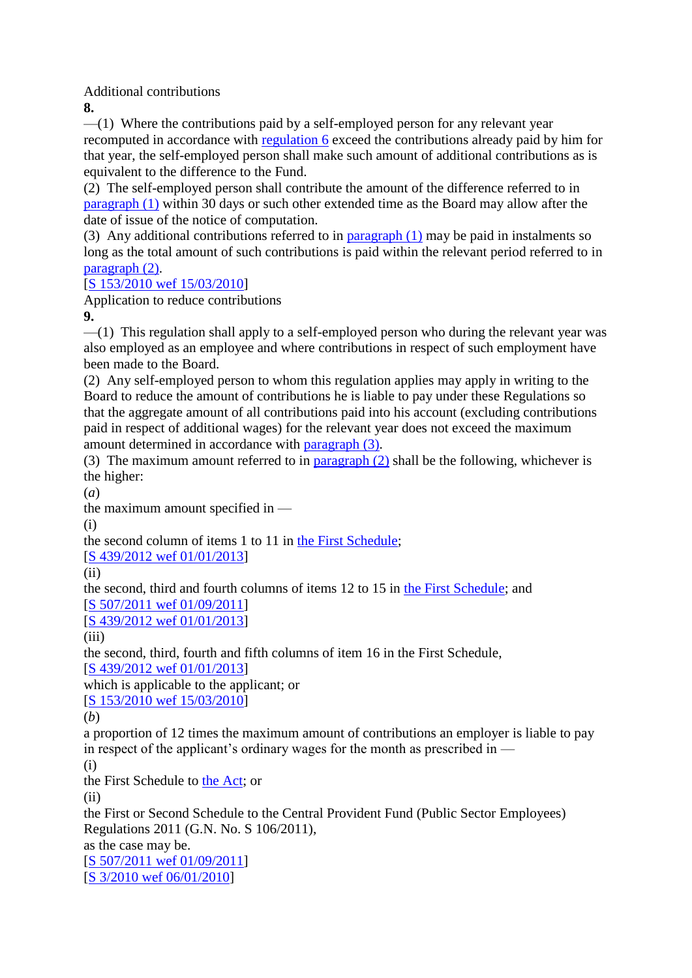Additional contributions

**8.**

 $-$ (1) Where the contributions paid by a self-employed person for any relevant year recomputed in accordance with [regulation](http://statutes.agc.gov.sg/aol/search/display/view.w3p;page=0;query=Id%3A%221a556e75-0864-4c08-a2f3-debe8ef6ac53%22%20Status%3Ainforce;rec=0#pr6-.) 6 exceed the contributions already paid by him for that year, the self-employed person shall make such amount of additional contributions as is equivalent to the difference to the Fund.

(2) The self-employed person shall contribute the amount of the difference referred to in [paragraph](http://statutes.agc.gov.sg/aol/search/display/view.w3p;page=0;query=Id%3A%223129ccfc-859a-4188-b0a6-630b7d2d3cef%22%20Status%3Ainforce;rec=0#pr8-ps1-.) (1) within 30 days or such other extended time as the Board may allow after the date of issue of the notice of computation.

(3) Any additional contributions referred to in [paragraph](http://statutes.agc.gov.sg/aol/search/display/view.w3p;page=0;query=Id%3A%223129ccfc-859a-4188-b0a6-630b7d2d3cef%22%20Status%3Ainforce;rec=0#pr8-ps1-.) (1) may be paid in instalments so long as the total amount of such contributions is paid within the relevant period referred to in [paragraph](http://statutes.agc.gov.sg/aol/search/display/view.w3p;page=0;query=Id%3A%22bb443835-60a8-4b73-b3e9-5e419f6ec6ef%22%20Status%3Ainforce;rec=0#pr8-ps2-.) (2).

[\[S 153/2010 wef 15/03/2010\]](http://statutes.agc.gov.sg/aol/search/display/view.w3p;page=0;query=DocId%3A%227ea6cecf-9085-461c-9b7f-00319f7725da%22%20Status%3Apublished%20Depth%3A0%20TransactionTime%3A20130521000000;rec=0)

Application to reduce contributions

**9.**

—(1) This regulation shall apply to a self-employed person who during the relevant year was also employed as an employee and where contributions in respect of such employment have been made to the Board.

(2) Any self-employed person to whom this regulation applies may apply in writing to the Board to reduce the amount of contributions he is liable to pay under these Regulations so that the aggregate amount of all contributions paid into his account (excluding contributions paid in respect of additional wages) for the relevant year does not exceed the maximum amount determined in accordance with [paragraph](http://statutes.agc.gov.sg/aol/search/display/view.w3p;page=0;query=Id%3A%22a06f2634-7f32-4408-a018-ae175ba5f9f8%22%20Status%3Ainforce;rec=0#pr9-ps3-.) (3).

(3) The maximum amount referred to in [paragraph](http://statutes.agc.gov.sg/aol/search/display/view.w3p;page=0;query=Id%3A%2240dc5d86-11a7-4365-9988-cbed64578ab5%22%20Status%3Ainforce;rec=0#pr9-ps2-.) (2) shall be the following, whichever is the higher:

(*a*)

the maximum amount specified in —

(i)

the second column of items 1 to 11 in the First [Schedule;](http://statutes.agc.gov.sg/aol/search/display/view.w3p;page=0;query=Id%3A%227a057164-5df4-452f-b2a1-3c7fab434651%22%20Status%3Ainforce;rec=0#Sc1-.)

[\[S 439/2012 wef 01/01/2013\]](http://statutes.agc.gov.sg/aol/search/display/view.w3p;page=0;query=DocId%3A%22468749d3-3e2f-489d-95b8-d65f566e5a8b%22%20Status%3Apublished%20Depth%3A0%20TransactionTime%3A20130521000000;rec=0)

(ii)

the second, third and fourth columns of items 12 to 15 in the First [Schedule;](http://statutes.agc.gov.sg/aol/search/display/view.w3p;page=0;query=Id%3A%227a057164-5df4-452f-b2a1-3c7fab434651%22%20Status%3Ainforce;rec=0#Sc1-.) and [\[S 507/2011 wef 01/09/2011\]](http://statutes.agc.gov.sg/aol/search/display/view.w3p;page=0;query=DocId%3A%228e98b229-a5fb-44d9-8019-1dbefd6e49b7%22%20Status%3Apublished%20Depth%3A0%20TransactionTime%3A20130521000000;rec=0)

[\[S 439/2012 wef 01/01/2013\]](http://statutes.agc.gov.sg/aol/search/display/view.w3p;page=0;query=DocId%3A%22468749d3-3e2f-489d-95b8-d65f566e5a8b%22%20Status%3Apublished%20Depth%3A0%20TransactionTime%3A20130521000000;rec=0)

 $(iii)$ 

the second, third, fourth and fifth columns of item 16 in the First Schedule, [\[S 439/2012 wef 01/01/2013\]](http://statutes.agc.gov.sg/aol/search/display/view.w3p;page=0;query=DocId%3A%22468749d3-3e2f-489d-95b8-d65f566e5a8b%22%20Status%3Apublished%20Depth%3A0%20TransactionTime%3A20130521000000;rec=0)

which is applicable to the applicant; or

[\[S 153/2010 wef 15/03/2010\]](http://statutes.agc.gov.sg/aol/search/display/view.w3p;page=0;query=DocId%3A%227ea6cecf-9085-461c-9b7f-00319f7725da%22%20Status%3Apublished%20Depth%3A0%20TransactionTime%3A20130521000000;rec=0)

(*b*)

a proportion of 12 times the maximum amount of contributions an employer is liable to pay in respect of the applicant's ordinary wages for the month as prescribed in —

(i)

the First Schedule to [the Act;](http://statutes.agc.gov.sg/aol/search/display/view.w3p;page=0;query=DocId%3A%22f1b7803c-71dd-4732-b7f0-231fef8142ca%22%20Status%3Ainforce%20Depth%3A0%20ValidTime%3A20100901000000%20TransactionTime%3A20130521000000;rec=0) or

 $(ii)$ 

the First or Second Schedule to the Central Provident Fund (Public Sector Employees) Regulations 2011 (G.N. No. S 106/2011), as the case may be.

[\[S 507/2011 wef 01/09/2011\]](http://statutes.agc.gov.sg/aol/search/display/view.w3p;page=0;query=DocId%3A%228e98b229-a5fb-44d9-8019-1dbefd6e49b7%22%20Status%3Apublished%20Depth%3A0%20TransactionTime%3A20130521000000;rec=0) [\[S 3/2010 wef 06/01/2010\]](http://statutes.agc.gov.sg/aol/search/display/view.w3p;page=0;query=DocId%3A%22c06e2c5c-96d9-40e1-b19f-66d8b3c96eb2%22%20Status%3Apublished%20Depth%3A0%20TransactionTime%3A20130521000000;rec=0)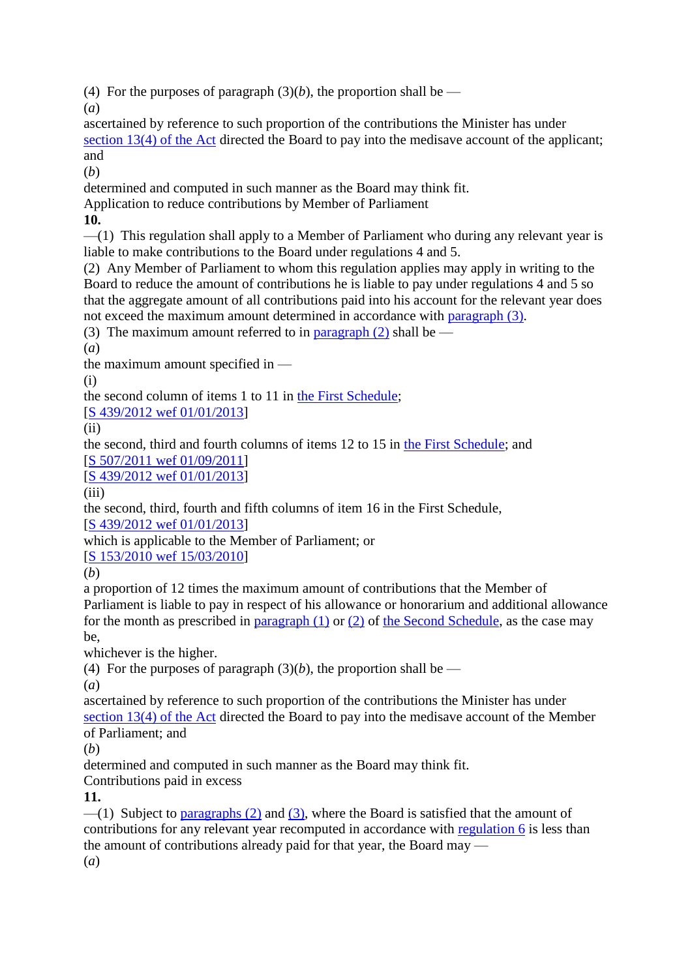(4) For the purposes of paragraph  $(3)(b)$ , the proportion shall be —

(*a*)

ascertained by reference to such proportion of the contributions the Minister has under section [13\(4\) of the Act](http://statutes.agc.gov.sg/aol/search/display/view.w3p;page=0;query=DocId%3A%22f1b7803c-71dd-4732-b7f0-231fef8142ca%22%20Status%3Ainforce%20Depth%3A0;rec=0#pr13-ps4-.) directed the Board to pay into the medisave account of the applicant; and

(*b*)

determined and computed in such manner as the Board may think fit.

Application to reduce contributions by Member of Parliament

**10.**

—(1) This regulation shall apply to a Member of Parliament who during any relevant year is liable to make contributions to the Board under regulations 4 and 5.

(2) Any Member of Parliament to whom this regulation applies may apply in writing to the Board to reduce the amount of contributions he is liable to pay under regulations 4 and 5 so that the aggregate amount of all contributions paid into his account for the relevant year does not exceed the maximum amount determined in accordance with [paragraph](http://statutes.agc.gov.sg/aol/search/display/view.w3p;page=0;query=Id%3A%22616cb3e8-409f-40f7-a720-680e0b01afa8%22%20Status%3Ainforce;rec=0#pr10-ps3-.) (3).

(3) The maximum amount referred to in [paragraph](http://statutes.agc.gov.sg/aol/search/display/view.w3p;page=0;query=Id%3A%220c902360-44ac-42f9-916f-85ea98c9fc93%22%20Status%3Ainforce;rec=0#pr10-ps2-.) (2) shall be  $-$ 

(*a*)

the maximum amount specified in —

(i)

the second column of items 1 to 11 in the First [Schedule;](http://statutes.agc.gov.sg/aol/search/display/view.w3p;page=0;query=Id%3A%227a057164-5df4-452f-b2a1-3c7fab434651%22%20Status%3Ainforce;rec=0#Sc1-.)

[\[S 439/2012 wef 01/01/2013\]](http://statutes.agc.gov.sg/aol/search/display/view.w3p;page=0;query=DocId%3A%22468749d3-3e2f-489d-95b8-d65f566e5a8b%22%20Status%3Apublished%20Depth%3A0%20TransactionTime%3A20130521000000;rec=0)

 $(ii)$ 

the second, third and fourth columns of items 12 to 15 in the First [Schedule;](http://statutes.agc.gov.sg/aol/search/display/view.w3p;page=0;query=Id%3A%227a057164-5df4-452f-b2a1-3c7fab434651%22%20Status%3Ainforce;rec=0#Sc1-.) and

[\[S 507/2011 wef 01/09/2011\]](http://statutes.agc.gov.sg/aol/search/display/view.w3p;page=0;query=DocId%3A%228e98b229-a5fb-44d9-8019-1dbefd6e49b7%22%20Status%3Apublished%20Depth%3A0%20TransactionTime%3A20130521000000;rec=0)

[\[S 439/2012 wef 01/01/2013\]](http://statutes.agc.gov.sg/aol/search/display/view.w3p;page=0;query=DocId%3A%22468749d3-3e2f-489d-95b8-d65f566e5a8b%22%20Status%3Apublished%20Depth%3A0%20TransactionTime%3A20130521000000;rec=0)

(iii)

the second, third, fourth and fifth columns of item 16 in the First Schedule,

[\[S 439/2012 wef 01/01/2013\]](http://statutes.agc.gov.sg/aol/search/display/view.w3p;page=0;query=DocId%3A%22468749d3-3e2f-489d-95b8-d65f566e5a8b%22%20Status%3Apublished%20Depth%3A0%20TransactionTime%3A20130521000000;rec=0)

which is applicable to the Member of Parliament; or

[\[S 153/2010 wef 15/03/2010\]](http://statutes.agc.gov.sg/aol/search/display/view.w3p;page=0;query=DocId%3A%227ea6cecf-9085-461c-9b7f-00319f7725da%22%20Status%3Apublished%20Depth%3A0%20TransactionTime%3A20130521000000;rec=0)

(*b*)

a proportion of 12 times the maximum amount of contributions that the Member of Parliament is liable to pay in respect of his allowance or honorarium and additional allowance for the month as prescribed in [paragraph](http://statutes.agc.gov.sg/aol/search/display/view.w3p;page=0;query=Id%3A%22a50ad0c7-87ca-42e8-ae09-d376712bd377%22%20Status%3Ainforce;rec=0#pr10-ps1-.) (1) or [\(2\)](http://statutes.agc.gov.sg/aol/search/display/view.w3p;page=0;query=Id%3A%220c902360-44ac-42f9-916f-85ea98c9fc93%22%20Status%3Ainforce;rec=0#pr10-ps2-.) of [the Second](http://statutes.agc.gov.sg/aol/search/display/view.w3p;page=0;query=Id%3A%22590ee567-74a9-4be6-88b6-9a7d7ef2c636%22%20Status%3Ainforce;rec=0#Sc2-.) Schedule, as the case may be,

whichever is the higher.

(4) For the purposes of paragraph  $(3)(b)$ , the proportion shall be —

(*a*)

ascertained by reference to such proportion of the contributions the Minister has under section [13\(4\) of the Act](http://statutes.agc.gov.sg/aol/search/display/view.w3p;page=0;query=DocId%3A%22f1b7803c-71dd-4732-b7f0-231fef8142ca%22%20Status%3Ainforce%20Depth%3A0;rec=0#pr13-ps4-.) directed the Board to pay into the medisave account of the Member of Parliament; and

(*b*)

determined and computed in such manner as the Board may think fit.

Contributions paid in excess

# **11.**

 $-$ (1) Subject to [paragraphs](http://statutes.agc.gov.sg/aol/search/display/view.w3p;page=0;query=Id%3A%22b36e01c4-2524-4ce8-afaf-0c60d8be17bd%22%20Status%3Ainforce;rec=0#pr11-ps2-.) (2) and [\(3\),](http://statutes.agc.gov.sg/aol/search/display/view.w3p;page=0;query=Id%3A%226b4b7f61-36c6-42b6-bca1-003274f262c5%22%20Status%3Ainforce;rec=0#pr11-ps3-.) where the Board is satisfied that the amount of contributions for any relevant year recomputed in accordance with [regulation](http://statutes.agc.gov.sg/aol/search/display/view.w3p;page=0;query=Id%3A%221a556e75-0864-4c08-a2f3-debe8ef6ac53%22%20Status%3Ainforce;rec=0#pr6-.) 6 is less than the amount of contributions already paid for that year, the Board may —

(*a*)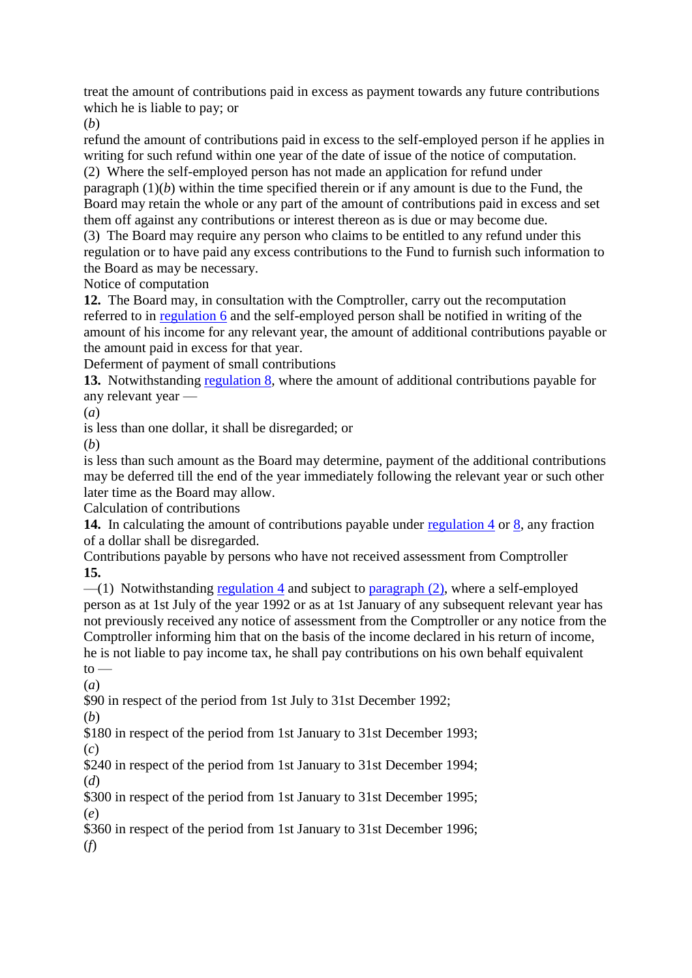treat the amount of contributions paid in excess as payment towards any future contributions which he is liable to pay; or

(*b*)

refund the amount of contributions paid in excess to the self-employed person if he applies in writing for such refund within one year of the date of issue of the notice of computation.

(2) Where the self-employed person has not made an application for refund under paragraph (1)(*b*) within the time specified therein or if any amount is due to the Fund, the Board may retain the whole or any part of the amount of contributions paid in excess and set them off against any contributions or interest thereon as is due or may become due.

(3) The Board may require any person who claims to be entitled to any refund under this regulation or to have paid any excess contributions to the Fund to furnish such information to the Board as may be necessary.

Notice of computation

**12.** The Board may, in consultation with the Comptroller, carry out the recomputation referred to in [regulation](http://statutes.agc.gov.sg/aol/search/display/view.w3p;page=0;query=Id%3A%221a556e75-0864-4c08-a2f3-debe8ef6ac53%22%20Status%3Ainforce;rec=0#pr6-.) 6 and the self-employed person shall be notified in writing of the amount of his income for any relevant year, the amount of additional contributions payable or the amount paid in excess for that year.

Deferment of payment of small contributions

**13.** Notwithstanding [regulation](http://statutes.agc.gov.sg/aol/search/display/view.w3p;page=0;query=Id%3A%22d3a58c97-a2c3-46ec-9847-2c90921c16ba%22%20Status%3Ainforce;rec=0#pr8-.) 8, where the amount of additional contributions payable for any relevant year —

(*a*)

is less than one dollar, it shall be disregarded; or

(*b*)

is less than such amount as the Board may determine, payment of the additional contributions may be deferred till the end of the year immediately following the relevant year or such other later time as the Board may allow.

Calculation of contributions

**14.** In calculating the amount of contributions payable under [regulation](http://statutes.agc.gov.sg/aol/search/display/view.w3p;page=0;query=Id%3A%22916dab60-08e1-4f2a-b1a7-ed5eb341acdd%22%20Status%3Ainforce;rec=0#pr4-.) 4 or [8,](http://statutes.agc.gov.sg/aol/search/display/view.w3p;page=0;query=Id%3A%22d3a58c97-a2c3-46ec-9847-2c90921c16ba%22%20Status%3Ainforce;rec=0#pr8-.) any fraction of a dollar shall be disregarded.

Contributions payable by persons who have not received assessment from Comptroller **15.**

 $-$ (1) Notwithstanding [regulation](http://statutes.agc.gov.sg/aol/search/display/view.w3p;page=0;query=Id%3A%22916dab60-08e1-4f2a-b1a7-ed5eb341acdd%22%20Status%3Ainforce;rec=0#pr4-.) 4 and subject to [paragraph](http://statutes.agc.gov.sg/aol/search/display/view.w3p;page=0;query=Id%3A%223243291e-6200-4308-a0a0-891d94bd6226%22%20Status%3Ainforce;rec=0#pr15-ps2-.) (2), where a self-employed person as at 1st July of the year 1992 or as at 1st January of any subsequent relevant year has not previously received any notice of assessment from the Comptroller or any notice from the Comptroller informing him that on the basis of the income declared in his return of income, he is not liable to pay income tax, he shall pay contributions on his own behalf equivalent  $to -$ 

(*a*)

\$90 in respect of the period from 1st July to 31st December 1992;

(*b*)

\$180 in respect of the period from 1st January to 31st December 1993; (*c*)

\$240 in respect of the period from 1st January to 31st December 1994; (*d*)

\$300 in respect of the period from 1st January to 31st December 1995; (*e*)

\$360 in respect of the period from 1st January to 31st December 1996;

(*f*)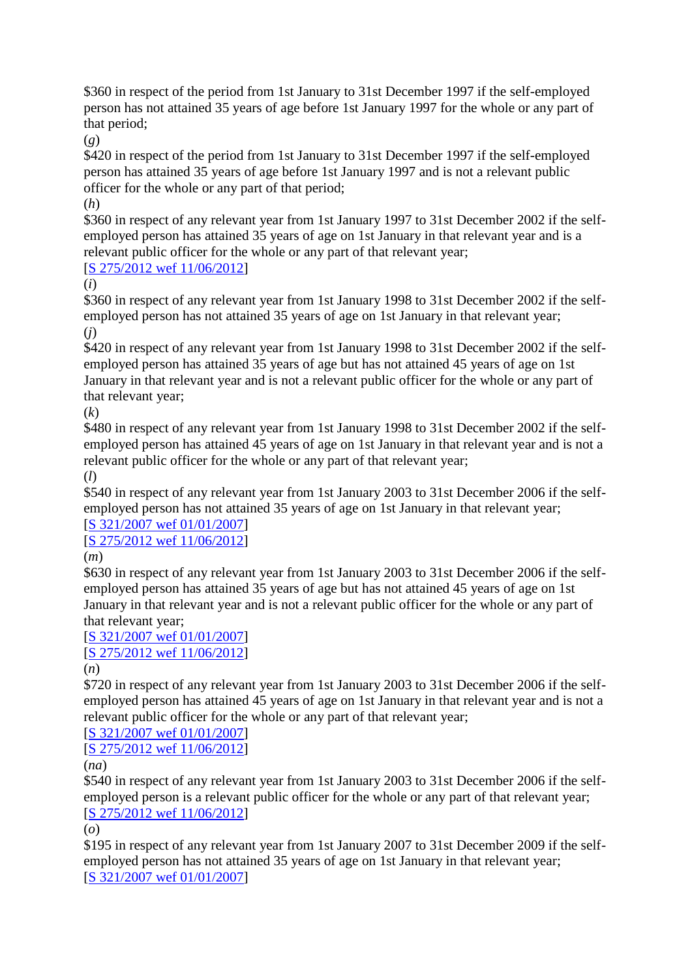\$360 in respect of the period from 1st January to 31st December 1997 if the self-employed person has not attained 35 years of age before 1st January 1997 for the whole or any part of that period;

(*g*)

\$420 in respect of the period from 1st January to 31st December 1997 if the self-employed person has attained 35 years of age before 1st January 1997 and is not a relevant public officer for the whole or any part of that period;

(*h*)

\$360 in respect of any relevant year from 1st January 1997 to 31st December 2002 if the selfemployed person has attained 35 years of age on 1st January in that relevant year and is a relevant public officer for the whole or any part of that relevant year;

## [\[S 275/2012 wef 11/06/2012\]](http://statutes.agc.gov.sg/aol/search/display/view.w3p;page=0;query=DocId%3A%22e7883853-5440-4aa2-963f-a712feebc5e6%22%20Status%3Apublished%20Depth%3A0%20TransactionTime%3A20130521000000;rec=0)

(*i*)

\$360 in respect of any relevant year from 1st January 1998 to 31st December 2002 if the selfemployed person has not attained 35 years of age on 1st January in that relevant year; (*j*)

\$420 in respect of any relevant year from 1st January 1998 to 31st December 2002 if the selfemployed person has attained 35 years of age but has not attained 45 years of age on 1st January in that relevant year and is not a relevant public officer for the whole or any part of that relevant year;

(*k*)

\$480 in respect of any relevant year from 1st January 1998 to 31st December 2002 if the selfemployed person has attained 45 years of age on 1st January in that relevant year and is not a relevant public officer for the whole or any part of that relevant year;

(*l*)

\$540 in respect of any relevant year from 1st January 2003 to 31st December 2006 if the selfemployed person has not attained 35 years of age on 1st January in that relevant year;

#### [\[S 321/2007 wef 01/01/2007\]](http://statutes.agc.gov.sg/aol/search/display/view.w3p;page=0;query=DocId%3A%2244b9b55d-7ad1-4be7-a679-93072ed0ef0e%22%20Status%3Apublished%20Depth%3A0%20TransactionTime%3A20130521000000;rec=0) [\[S 275/2012 wef 11/06/2012\]](http://statutes.agc.gov.sg/aol/search/display/view.w3p;page=0;query=DocId%3A%22e7883853-5440-4aa2-963f-a712feebc5e6%22%20Status%3Apublished%20Depth%3A0%20TransactionTime%3A20130521000000;rec=0)

(*m*)

\$630 in respect of any relevant year from 1st January 2003 to 31st December 2006 if the selfemployed person has attained 35 years of age but has not attained 45 years of age on 1st January in that relevant year and is not a relevant public officer for the whole or any part of that relevant year;

#### [\[S 321/2007 wef 01/01/2007\]](http://statutes.agc.gov.sg/aol/search/display/view.w3p;page=0;query=DocId%3A%2244b9b55d-7ad1-4be7-a679-93072ed0ef0e%22%20Status%3Apublished%20Depth%3A0%20TransactionTime%3A20130521000000;rec=0) [\[S 275/2012 wef 11/06/2012\]](http://statutes.agc.gov.sg/aol/search/display/view.w3p;page=0;query=DocId%3A%22e7883853-5440-4aa2-963f-a712feebc5e6%22%20Status%3Apublished%20Depth%3A0%20TransactionTime%3A20130521000000;rec=0)

(*n*)

\$720 in respect of any relevant year from 1st January 2003 to 31st December 2006 if the selfemployed person has attained 45 years of age on 1st January in that relevant year and is not a relevant public officer for the whole or any part of that relevant year;

[\[S 321/2007 wef 01/01/2007\]](http://statutes.agc.gov.sg/aol/search/display/view.w3p;page=0;query=DocId%3A%2244b9b55d-7ad1-4be7-a679-93072ed0ef0e%22%20Status%3Apublished%20Depth%3A0%20TransactionTime%3A20130521000000;rec=0)

[\[S 275/2012 wef 11/06/2012\]](http://statutes.agc.gov.sg/aol/search/display/view.w3p;page=0;query=DocId%3A%22e7883853-5440-4aa2-963f-a712feebc5e6%22%20Status%3Apublished%20Depth%3A0%20TransactionTime%3A20130521000000;rec=0)

(*na*)

\$540 in respect of any relevant year from 1st January 2003 to 31st December 2006 if the selfemployed person is a relevant public officer for the whole or any part of that relevant year; [\[S 275/2012 wef 11/06/2012\]](http://statutes.agc.gov.sg/aol/search/display/view.w3p;page=0;query=DocId%3A%22e7883853-5440-4aa2-963f-a712feebc5e6%22%20Status%3Apublished%20Depth%3A0%20TransactionTime%3A20130521000000;rec=0)

(*o*)

\$195 in respect of any relevant year from 1st January 2007 to 31st December 2009 if the selfemployed person has not attained 35 years of age on 1st January in that relevant year; [\[S 321/2007 wef 01/01/2007\]](http://statutes.agc.gov.sg/aol/search/display/view.w3p;page=0;query=DocId%3A%2244b9b55d-7ad1-4be7-a679-93072ed0ef0e%22%20Status%3Apublished%20Depth%3A0%20TransactionTime%3A20130521000000;rec=0)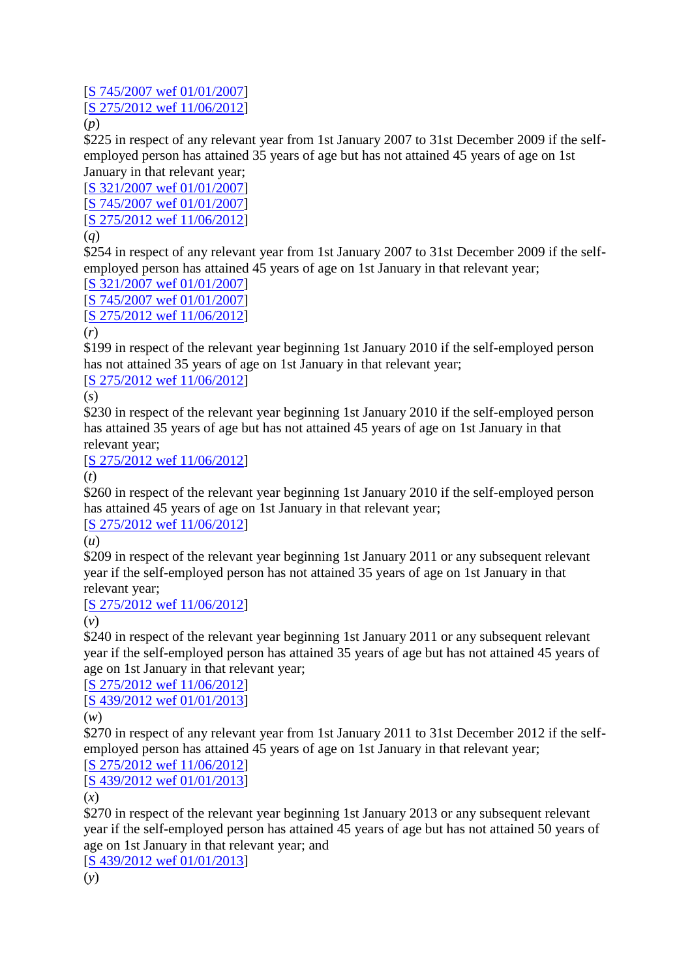# [\[S 745/2007 wef 01/01/2007\]](http://statutes.agc.gov.sg/aol/search/display/view.w3p;page=0;query=DocId%3A%22f95e39af-b28d-4c33-b7a9-8e9d79b3c892%22%20Status%3Apublished%20Depth%3A0%20TransactionTime%3A20130521000000;rec=0) [\[S 275/2012 wef 11/06/2012\]](http://statutes.agc.gov.sg/aol/search/display/view.w3p;page=0;query=DocId%3A%22e7883853-5440-4aa2-963f-a712feebc5e6%22%20Status%3Apublished%20Depth%3A0%20TransactionTime%3A20130521000000;rec=0)

(*p*)

\$225 in respect of any relevant year from 1st January 2007 to 31st December 2009 if the selfemployed person has attained 35 years of age but has not attained 45 years of age on 1st January in that relevant year;

[\[S 321/2007 wef 01/01/2007\]](http://statutes.agc.gov.sg/aol/search/display/view.w3p;page=0;query=DocId%3A%2244b9b55d-7ad1-4be7-a679-93072ed0ef0e%22%20Status%3Apublished%20Depth%3A0%20TransactionTime%3A20130521000000;rec=0) [\[S 745/2007 wef 01/01/2007\]](http://statutes.agc.gov.sg/aol/search/display/view.w3p;page=0;query=DocId%3A%22f95e39af-b28d-4c33-b7a9-8e9d79b3c892%22%20Status%3Apublished%20Depth%3A0%20TransactionTime%3A20130521000000;rec=0) [\[S 275/2012 wef 11/06/2012\]](http://statutes.agc.gov.sg/aol/search/display/view.w3p;page=0;query=DocId%3A%22e7883853-5440-4aa2-963f-a712feebc5e6%22%20Status%3Apublished%20Depth%3A0%20TransactionTime%3A20130521000000;rec=0) (*q*)

\$254 in respect of any relevant year from 1st January 2007 to 31st December 2009 if the selfemployed person has attained 45 years of age on 1st January in that relevant year;

[\[S 321/2007 wef 01/01/2007\]](http://statutes.agc.gov.sg/aol/search/display/view.w3p;page=0;query=DocId%3A%2244b9b55d-7ad1-4be7-a679-93072ed0ef0e%22%20Status%3Apublished%20Depth%3A0%20TransactionTime%3A20130521000000;rec=0) [\[S 745/2007 wef 01/01/2007\]](http://statutes.agc.gov.sg/aol/search/display/view.w3p;page=0;query=DocId%3A%22f95e39af-b28d-4c33-b7a9-8e9d79b3c892%22%20Status%3Apublished%20Depth%3A0%20TransactionTime%3A20130521000000;rec=0) [\[S 275/2012 wef 11/06/2012\]](http://statutes.agc.gov.sg/aol/search/display/view.w3p;page=0;query=DocId%3A%22e7883853-5440-4aa2-963f-a712feebc5e6%22%20Status%3Apublished%20Depth%3A0%20TransactionTime%3A20130521000000;rec=0)

## (*r*)

\$199 in respect of the relevant year beginning 1st January 2010 if the self-employed person has not attained 35 years of age on 1st January in that relevant year;

[\[S 275/2012 wef 11/06/2012\]](http://statutes.agc.gov.sg/aol/search/display/view.w3p;page=0;query=DocId%3A%22e7883853-5440-4aa2-963f-a712feebc5e6%22%20Status%3Apublished%20Depth%3A0%20TransactionTime%3A20130521000000;rec=0)

(*s*)

\$230 in respect of the relevant year beginning 1st January 2010 if the self-employed person has attained 35 years of age but has not attained 45 years of age on 1st January in that relevant year;

[S 275/201<u>2 wef 11/06/2012</u>]

(*t*)

\$260 in respect of the relevant year beginning 1st January 2010 if the self-employed person has attained 45 years of age on 1st January in that relevant year;

[S [275/2012 wef 11/06/2012\]](http://statutes.agc.gov.sg/aol/search/display/view.w3p;page=0;query=DocId%3A%22e7883853-5440-4aa2-963f-a712feebc5e6%22%20Status%3Apublished%20Depth%3A0%20TransactionTime%3A20130521000000;rec=0)

(*u*)

\$209 in respect of the relevant year beginning 1st January 2011 or any subsequent relevant year if the self-employed person has not attained 35 years of age on 1st January in that relevant year;

[\[S 275/2012 wef 11/06/2012\]](http://statutes.agc.gov.sg/aol/search/display/view.w3p;page=0;query=DocId%3A%22e7883853-5440-4aa2-963f-a712feebc5e6%22%20Status%3Apublished%20Depth%3A0%20TransactionTime%3A20130521000000;rec=0)

(*v*)

\$240 in respect of the relevant year beginning 1st January 2011 or any subsequent relevant year if the self-employed person has attained 35 years of age but has not attained 45 years of age on 1st January in that relevant year;

[\[S 275/2012 wef 11/06/2012\]](http://statutes.agc.gov.sg/aol/search/display/view.w3p;page=0;query=DocId%3A%22e7883853-5440-4aa2-963f-a712feebc5e6%22%20Status%3Apublished%20Depth%3A0%20TransactionTime%3A20130521000000;rec=0)

[\[S 439/2012 wef 01/01/2013\]](http://statutes.agc.gov.sg/aol/search/display/view.w3p;page=0;query=DocId%3A%22468749d3-3e2f-489d-95b8-d65f566e5a8b%22%20Status%3Apublished%20Depth%3A0%20TransactionTime%3A20130521000000;rec=0)

(*w*)

\$270 in respect of any relevant year from 1st January 2011 to 31st December 2012 if the selfemployed person has attained 45 years of age on 1st January in that relevant year;

[\[S 275/2012 wef 11/06/2012\]](http://statutes.agc.gov.sg/aol/search/display/view.w3p;page=0;query=DocId%3A%22e7883853-5440-4aa2-963f-a712feebc5e6%22%20Status%3Apublished%20Depth%3A0%20TransactionTime%3A20130521000000;rec=0)

[\[S 439/2012 wef 01/01/2013\]](http://statutes.agc.gov.sg/aol/search/display/view.w3p;page=0;query=DocId%3A%22468749d3-3e2f-489d-95b8-d65f566e5a8b%22%20Status%3Apublished%20Depth%3A0%20TransactionTime%3A20130521000000;rec=0)

(*x*)

\$270 in respect of the relevant year beginning 1st January 2013 or any subsequent relevant year if the self-employed person has attained 45 years of age but has not attained 50 years of age on 1st January in that relevant year; and

[\[S 439/2012 wef 01/01/2013\]](http://statutes.agc.gov.sg/aol/search/display/view.w3p;page=0;query=DocId%3A%22468749d3-3e2f-489d-95b8-d65f566e5a8b%22%20Status%3Apublished%20Depth%3A0%20TransactionTime%3A20130521000000;rec=0)

(*y*)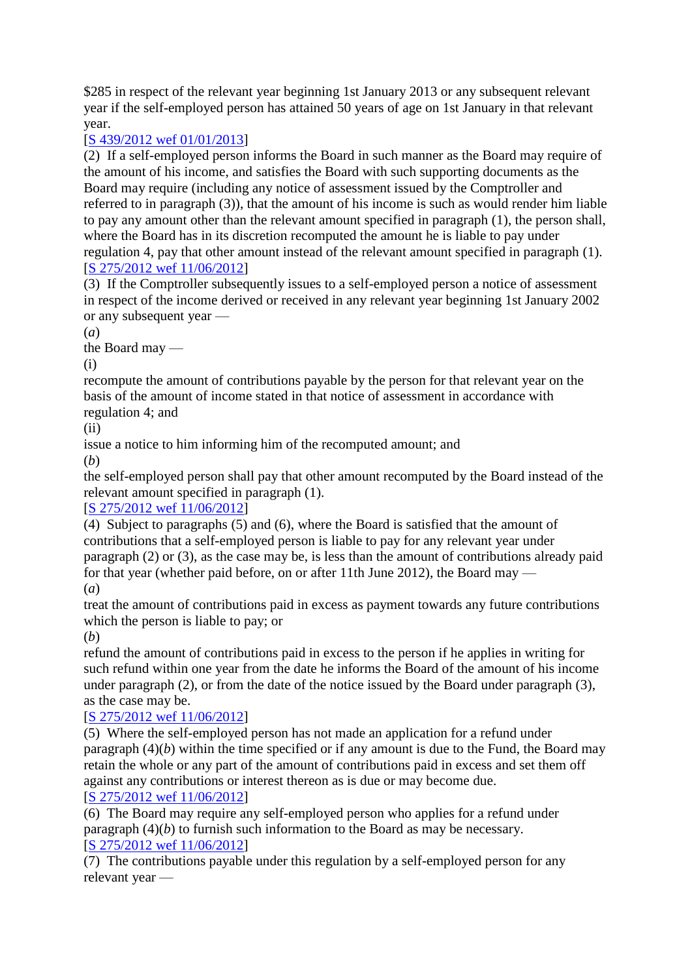\$285 in respect of the relevant year beginning 1st January 2013 or any subsequent relevant year if the self-employed person has attained 50 years of age on 1st January in that relevant year.

# [\[S 439/2012 wef 01/01/2013\]](http://statutes.agc.gov.sg/aol/search/display/view.w3p;page=0;query=DocId%3A%22468749d3-3e2f-489d-95b8-d65f566e5a8b%22%20Status%3Apublished%20Depth%3A0%20TransactionTime%3A20130521000000;rec=0)

(2) If a self-employed person informs the Board in such manner as the Board may require of the amount of his income, and satisfies the Board with such supporting documents as the Board may require (including any notice of assessment issued by the Comptroller and referred to in paragraph (3)), that the amount of his income is such as would render him liable to pay any amount other than the relevant amount specified in paragraph (1), the person shall, where the Board has in its discretion recomputed the amount he is liable to pay under regulation 4, pay that other amount instead of the relevant amount specified in paragraph (1). [\[S 275/2012 wef 11/06/2012\]](http://statutes.agc.gov.sg/aol/search/display/view.w3p;page=0;query=DocId%3A%22e7883853-5440-4aa2-963f-a712feebc5e6%22%20Status%3Apublished%20Depth%3A0%20TransactionTime%3A20130521000000;rec=0)

(3) If the Comptroller subsequently issues to a self-employed person a notice of assessment in respect of the income derived or received in any relevant year beginning 1st January 2002 or any subsequent year —

(*a*)

the Board may —

(i)

recompute the amount of contributions payable by the person for that relevant year on the basis of the amount of income stated in that notice of assessment in accordance with regulation 4; and

 $(ii)$ 

issue a notice to him informing him of the recomputed amount; and

(*b*)

the self-employed person shall pay that other amount recomputed by the Board instead of the relevant amount specified in paragraph (1).

## [\[S 275/2012 wef 11/06/2012\]](http://statutes.agc.gov.sg/aol/search/display/view.w3p;page=0;query=DocId%3A%22e7883853-5440-4aa2-963f-a712feebc5e6%22%20Status%3Apublished%20Depth%3A0%20TransactionTime%3A20130521000000;rec=0)

(4) Subject to paragraphs (5) and (6), where the Board is satisfied that the amount of contributions that a self-employed person is liable to pay for any relevant year under paragraph (2) or (3), as the case may be, is less than the amount of contributions already paid for that year (whether paid before, on or after 11th June 2012), the Board may — (*a*)

treat the amount of contributions paid in excess as payment towards any future contributions which the person is liable to pay; or

(*b*)

refund the amount of contributions paid in excess to the person if he applies in writing for such refund within one year from the date he informs the Board of the amount of his income under paragraph (2), or from the date of the notice issued by the Board under paragraph (3), as the case may be.

## [\[S 275/2012 wef 11/06/2012\]](http://statutes.agc.gov.sg/aol/search/display/view.w3p;page=0;query=DocId%3A%22e7883853-5440-4aa2-963f-a712feebc5e6%22%20Status%3Apublished%20Depth%3A0%20TransactionTime%3A20130521000000;rec=0)

(5) Where the self-employed person has not made an application for a refund under paragraph (4)(*b*) within the time specified or if any amount is due to the Fund, the Board may retain the whole or any part of the amount of contributions paid in excess and set them off against any contributions or interest thereon as is due or may become due. [\[S 275/2012 wef 11/06/2012\]](http://statutes.agc.gov.sg/aol/search/display/view.w3p;page=0;query=DocId%3A%22e7883853-5440-4aa2-963f-a712feebc5e6%22%20Status%3Apublished%20Depth%3A0%20TransactionTime%3A20130521000000;rec=0)

(6) The Board may require any self-employed person who applies for a refund under paragraph (4)(*b*) to furnish such information to the Board as may be necessary. [\[S 275/2012 wef 11/06/2012\]](http://statutes.agc.gov.sg/aol/search/display/view.w3p;page=0;query=DocId%3A%22e7883853-5440-4aa2-963f-a712feebc5e6%22%20Status%3Apublished%20Depth%3A0%20TransactionTime%3A20130521000000;rec=0)

(7) The contributions payable under this regulation by a self-employed person for any relevant year —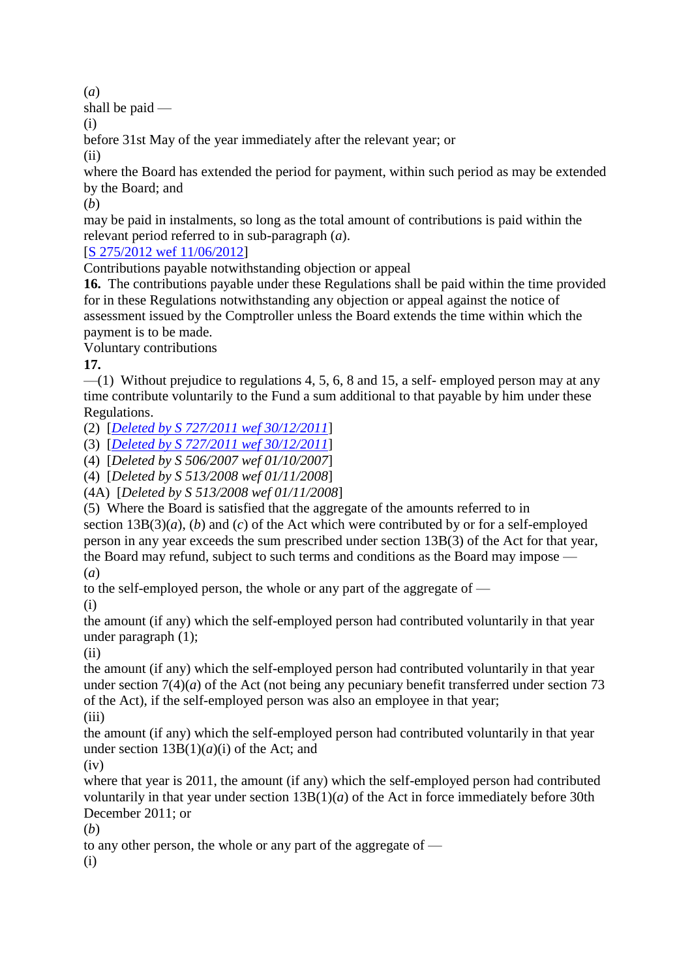(*a*)

shall be paid —

(i)

before 31st May of the year immediately after the relevant year; or

(ii)

where the Board has extended the period for payment, within such period as may be extended by the Board; and

(*b*)

may be paid in instalments, so long as the total amount of contributions is paid within the relevant period referred to in sub-paragraph (*a*).

[\[S 275/2012 wef 11/06/2012\]](http://statutes.agc.gov.sg/aol/search/display/view.w3p;page=0;query=DocId%3A%22e7883853-5440-4aa2-963f-a712feebc5e6%22%20Status%3Apublished%20Depth%3A0%20TransactionTime%3A20130521000000;rec=0)

Contributions payable notwithstanding objection or appeal

**16.** The contributions payable under these Regulations shall be paid within the time provided for in these Regulations notwithstanding any objection or appeal against the notice of assessment issued by the Comptroller unless the Board extends the time within which the payment is to be made.

Voluntary contributions

**17.**

 $-$ (1) Without prejudice to regulations 4, 5, 6, 8 and 15, a self- employed person may at any time contribute voluntarily to the Fund a sum additional to that payable by him under these Regulations.

(2) [*[Deleted by S 727/2011 wef 30/12/2011](http://statutes.agc.gov.sg/aol/search/display/view.w3p;page=0;query=DocId%3A%22362b6059-e61b-4e6a-8673-59915bcb1966%22%20Status%3Apublished%20Depth%3A0%20TransactionTime%3A20130521000000;rec=0)*]

(3) [*[Deleted by S 727/2011 wef 30/12/2011](http://statutes.agc.gov.sg/aol/search/display/view.w3p;page=0;query=DocId%3A%22362b6059-e61b-4e6a-8673-59915bcb1966%22%20Status%3Apublished%20Depth%3A0%20TransactionTime%3A20130521000000;rec=0)*]

(4) [*Deleted by S 506/2007 wef 01/10/2007*]

(4) [*Deleted by S 513/2008 wef 01/11/2008*]

(4A) [*Deleted by S 513/2008 wef 01/11/2008*]

(5) Where the Board is satisfied that the aggregate of the amounts referred to in section 13B(3)(*a*), (*b*) and (*c*) of the Act which were contributed by or for a self-employed person in any year exceeds the sum prescribed under section 13B(3) of the Act for that year, the Board may refund, subject to such terms and conditions as the Board may impose — (*a*)

to the self-employed person, the whole or any part of the aggregate of —

(i)

the amount (if any) which the self-employed person had contributed voluntarily in that year under paragraph (1);

(ii)

the amount (if any) which the self-employed person had contributed voluntarily in that year under section  $7(4)(a)$  of the Act (not being any pecuniary benefit transferred under section 73 of the Act), if the self-employed person was also an employee in that year; (iii)

the amount (if any) which the self-employed person had contributed voluntarily in that year under section  $13B(1)(a)(i)$  of the Act; and

 $(iv)$ 

where that year is 2011, the amount (if any) which the self-employed person had contributed voluntarily in that year under section  $13B(1)(a)$  of the Act in force immediately before 30th December 2011; or

(*b*)

to any other person, the whole or any part of the aggregate of —

(i)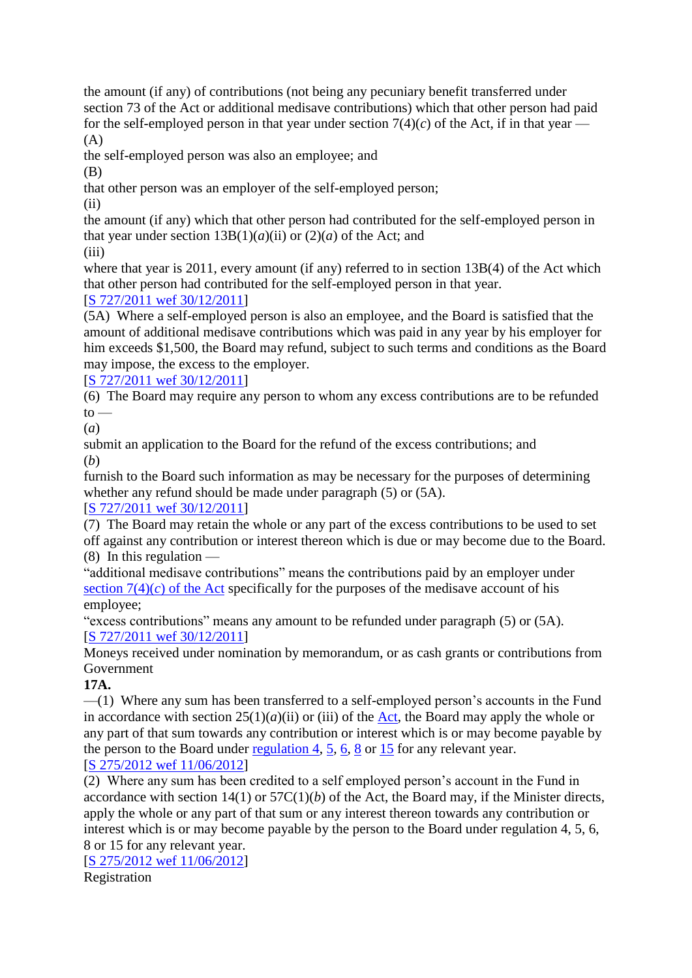the amount (if any) of contributions (not being any pecuniary benefit transferred under section 73 of the Act or additional medisave contributions) which that other person had paid for the self-employed person in that year under section  $7(4)(c)$  of the Act, if in that year —  $(A)$ 

the self-employed person was also an employee; and

(B)

that other person was an employer of the self-employed person;

 $(ii)$ 

the amount (if any) which that other person had contributed for the self-employed person in that year under section  $13B(1)(a)(ii)$  or  $(2)(a)$  of the Act; and

(iii)

where that year is 2011, every amount (if any) referred to in section 13B(4) of the Act which that other person had contributed for the self-employed person in that year.

# [\[S 727/2011 wef 30/12/2011\]](http://statutes.agc.gov.sg/aol/search/display/view.w3p;page=0;query=DocId%3A%22362b6059-e61b-4e6a-8673-59915bcb1966%22%20Status%3Apublished%20Depth%3A0%20TransactionTime%3A20130521000000;rec=0)

(5A) Where a self-employed person is also an employee, and the Board is satisfied that the amount of additional medisave contributions which was paid in any year by his employer for him exceeds \$1,500, the Board may refund, subject to such terms and conditions as the Board may impose, the excess to the employer.

[\[S 727/2011 wef 30/12/2011\]](http://statutes.agc.gov.sg/aol/search/display/view.w3p;page=0;query=DocId%3A%22362b6059-e61b-4e6a-8673-59915bcb1966%22%20Status%3Apublished%20Depth%3A0%20TransactionTime%3A20130521000000;rec=0)

(6) The Board may require any person to whom any excess contributions are to be refunded  $to$ 

(*a*)

submit an application to the Board for the refund of the excess contributions; and (*b*)

furnish to the Board such information as may be necessary for the purposes of determining whether any refund should be made under paragraph (5) or (5A).

# [\[S 727/2011 wef 30/12/2011\]](http://statutes.agc.gov.sg/aol/search/display/view.w3p;page=0;query=DocId%3A%22362b6059-e61b-4e6a-8673-59915bcb1966%22%20Status%3Apublished%20Depth%3A0%20TransactionTime%3A20130521000000;rec=0)

(7) The Board may retain the whole or any part of the excess contributions to be used to set off against any contribution or interest thereon which is due or may become due to the Board. (8) In this regulation —

"additional medisave contributions" means the contributions paid by an employer under section  $7(4)(c)$  of the Act specifically for the purposes of the medisave account of his employee;

"excess contributions" means any amount to be refunded under paragraph (5) or (5A). [\[S 727/2011 wef 30/12/2011\]](http://statutes.agc.gov.sg/aol/search/display/view.w3p;page=0;query=DocId%3A%22362b6059-e61b-4e6a-8673-59915bcb1966%22%20Status%3Apublished%20Depth%3A0%20TransactionTime%3A20130521000000;rec=0)

Moneys received under nomination by memorandum, or as cash grants or contributions from Government

**17A.**

—(1) Where any sum has been transferred to a self-employed person's accounts in the Fund in accordance with section  $25(1)(a)(ii)$  or (iii) of the [Act,](http://statutes.agc.gov.sg/aol/search/display/view.w3p;page=0;query=DocId%3A%22f1b7803c-71dd-4732-b7f0-231fef8142ca%22%20Status%3Ainforce%20Depth%3A0;rec=0) the Board may apply the whole or any part of that sum towards any contribution or interest which is or may become payable by the person to the Board under [regulation](http://statutes.agc.gov.sg/aol/search/display/view.w3p;page=0;query=Id%3A%22916dab60-08e1-4f2a-b1a7-ed5eb341acdd%22%20Status%3Ainforce;rec=0#pr4-.) 4, [5,](http://statutes.agc.gov.sg/aol/search/display/view.w3p;page=0;query=Id%3A%22517251e3-4c50-4985-862d-2dda09ed35f0%22%20Status%3Ainforce;rec=0#pr5-.) [6,](http://statutes.agc.gov.sg/aol/search/display/view.w3p;page=0;query=Id%3A%221a556e75-0864-4c08-a2f3-debe8ef6ac53%22%20Status%3Ainforce;rec=0#pr6-.) [8](http://statutes.agc.gov.sg/aol/search/display/view.w3p;page=0;query=Id%3A%22d3a58c97-a2c3-46ec-9847-2c90921c16ba%22%20Status%3Ainforce;rec=0#pr8-.) or [15](http://statutes.agc.gov.sg/aol/search/display/view.w3p;page=0;query=Id%3A%22119a980c-b6f6-441b-8346-1ff6cb77a70f%22%20Status%3Ainforce;rec=0#pr15-.) for any relevant year.

## [\[S 275/2012 wef 11/06/2012\]](http://statutes.agc.gov.sg/aol/search/display/view.w3p;page=0;query=DocId%3A%22e7883853-5440-4aa2-963f-a712feebc5e6%22%20Status%3Apublished%20Depth%3A0%20TransactionTime%3A20130521000000;rec=0)

(2) Where any sum has been credited to a self employed person's account in the Fund in accordance with section  $14(1)$  or  $57C(1)(b)$  of the Act, the Board may, if the Minister directs, apply the whole or any part of that sum or any interest thereon towards any contribution or interest which is or may become payable by the person to the Board under regulation 4, 5, 6, 8 or 15 for any relevant year.

[\[S 275/2012 wef 11/06/2012\]](http://statutes.agc.gov.sg/aol/search/display/view.w3p;page=0;query=DocId%3A%22e7883853-5440-4aa2-963f-a712feebc5e6%22%20Status%3Apublished%20Depth%3A0%20TransactionTime%3A20130521000000;rec=0)

Registration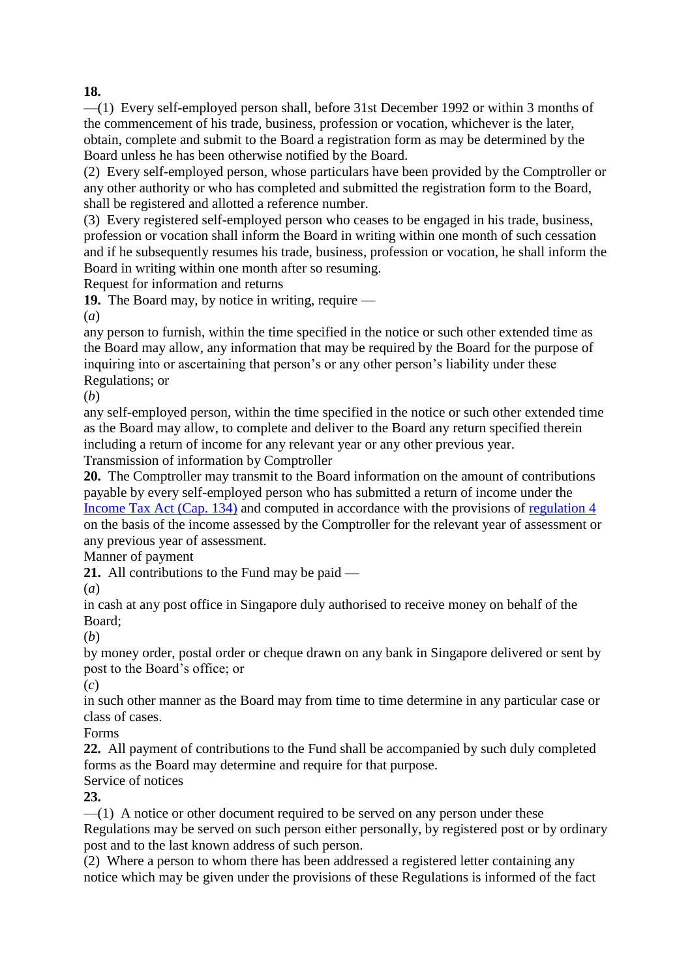## **18.**

—(1) Every self-employed person shall, before 31st December 1992 or within 3 months of the commencement of his trade, business, profession or vocation, whichever is the later, obtain, complete and submit to the Board a registration form as may be determined by the Board unless he has been otherwise notified by the Board.

(2) Every self-employed person, whose particulars have been provided by the Comptroller or any other authority or who has completed and submitted the registration form to the Board, shall be registered and allotted a reference number.

(3) Every registered self-employed person who ceases to be engaged in his trade, business, profession or vocation shall inform the Board in writing within one month of such cessation and if he subsequently resumes his trade, business, profession or vocation, he shall inform the Board in writing within one month after so resuming.

Request for information and returns

**19.** The Board may, by notice in writing, require — (*a*)

any person to furnish, within the time specified in the notice or such other extended time as the Board may allow, any information that may be required by the Board for the purpose of inquiring into or ascertaining that person's or any other person's liability under these Regulations; or

(*b*)

any self-employed person, within the time specified in the notice or such other extended time as the Board may allow, to complete and deliver to the Board any return specified therein including a return of income for any relevant year or any other previous year.

Transmission of information by Comptroller

**20.** The Comptroller may transmit to the Board information on the amount of contributions payable by every self-employed person who has submitted a return of income under the [Income Tax Act \(Cap. 134\)](http://statutes.agc.gov.sg/aol/search/display/view.w3p;page=0;query=DocId%3A%2245fc380e-12d4-4935-b138-c42dc45d377c%22%20Status%3Ainforce%20Depth%3A0;rec=0) and computed in accordance with the provisions of [regulation](http://statutes.agc.gov.sg/aol/search/display/view.w3p;page=0;query=Id%3A%22916dab60-08e1-4f2a-b1a7-ed5eb341acdd%22%20Status%3Ainforce;rec=0#pr4-.) 4 on the basis of the income assessed by the Comptroller for the relevant year of assessment or any previous year of assessment.

Manner of payment

**21.** All contributions to the Fund may be paid —

(*a*)

in cash at any post office in Singapore duly authorised to receive money on behalf of the Board;

(*b*)

by money order, postal order or cheque drawn on any bank in Singapore delivered or sent by post to the Board's office; or

(*c*)

in such other manner as the Board may from time to time determine in any particular case or class of cases.

Forms

**22.** All payment of contributions to the Fund shall be accompanied by such duly completed forms as the Board may determine and require for that purpose.

Service of notices

**23.**

—(1) A notice or other document required to be served on any person under these Regulations may be served on such person either personally, by registered post or by ordinary post and to the last known address of such person.

(2) Where a person to whom there has been addressed a registered letter containing any notice which may be given under the provisions of these Regulations is informed of the fact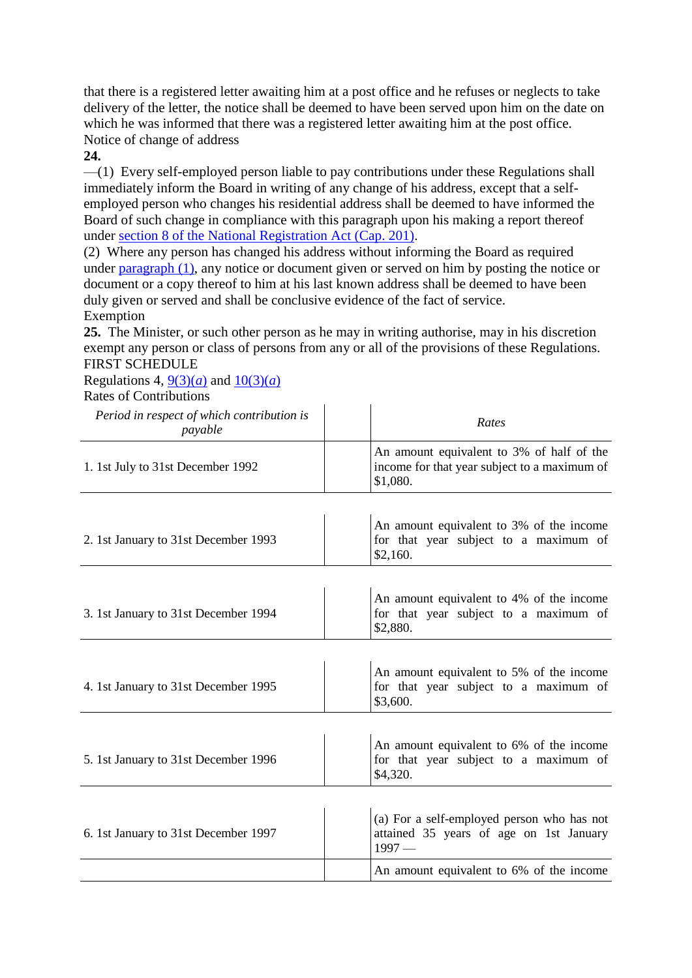that there is a registered letter awaiting him at a post office and he refuses or neglects to take delivery of the letter, the notice shall be deemed to have been served upon him on the date on which he was informed that there was a registered letter awaiting him at the post office. Notice of change of address

#### **24.**

—(1) Every self-employed person liable to pay contributions under these Regulations shall immediately inform the Board in writing of any change of his address, except that a selfemployed person who changes his residential address shall be deemed to have informed the Board of such change in compliance with this paragraph upon his making a report thereof under section [8 of the National Registration Act \(Cap. 201\).](http://statutes.agc.gov.sg/aol/search/display/view.w3p;page=0;query=DocId%3A%22c1340a15-b22e-46b6-b550-e33ae773981e%22%20Status%3Ainforce%20Depth%3A0;rec=0#pr8-.)

(2) Where any person has changed his address without informing the Board as required under [paragraph](http://statutes.agc.gov.sg/aol/search/display/view.w3p;page=0;query=Id%3A%221c744efb-9863-4a90-9ac7-d3c2e86201ef%22%20Status%3Ainforce;rec=0#pr24-ps1-.) (1), any notice or document given or served on him by posting the notice or document or a copy thereof to him at his last known address shall be deemed to have been duly given or served and shall be conclusive evidence of the fact of service. Exemption

**25.** The Minister, or such other person as he may in writing authorise, may in his discretion exempt any person or class of persons from any or all of the provisions of these Regulations. FIRST SCHEDULE

Regulations 4,  $9(3)(a)$  and  $10(3)(a)$ Rates of Contributions

| Period in respect of which contribution is<br>payable | Rates                                                                                                 |
|-------------------------------------------------------|-------------------------------------------------------------------------------------------------------|
| 1. 1st July to 31st December 1992                     | An amount equivalent to 3% of half of the<br>income for that year subject to a maximum of<br>\$1,080. |
|                                                       |                                                                                                       |
| 2. 1st January to 31st December 1993                  | An amount equivalent to 3% of the income<br>for that year subject to a maximum of<br>\$2,160.         |
|                                                       |                                                                                                       |
| 3. 1st January to 31st December 1994                  | An amount equivalent to 4% of the income<br>for that year subject to a maximum of<br>\$2,880.         |
|                                                       |                                                                                                       |
| 4. 1st January to 31st December 1995                  | An amount equivalent to 5% of the income<br>for that year subject to a maximum of<br>\$3,600.         |
|                                                       |                                                                                                       |
| 5. 1st January to 31st December 1996                  | An amount equivalent to 6% of the income<br>for that year subject to a maximum of<br>\$4,320.         |
|                                                       |                                                                                                       |
| 6. 1st January to 31st December 1997                  | (a) For a self-employed person who has not<br>attained 35 years of age on 1st January<br>$1997-$      |
|                                                       | An amount equivalent to 6% of the income                                                              |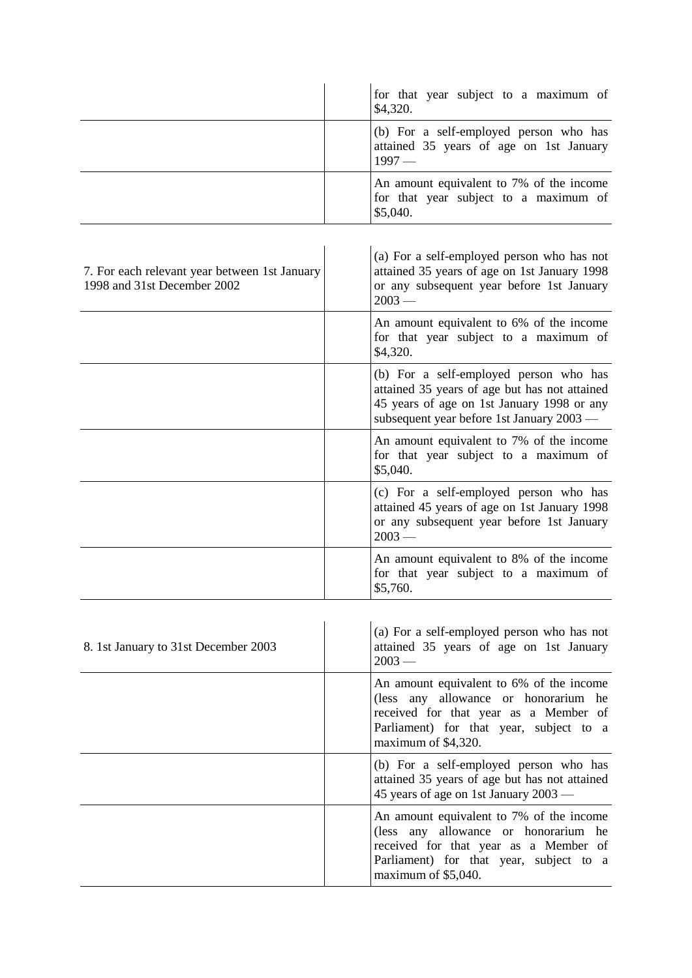|                                                                              | for that year subject to a maximum of<br>\$4,320.                                                                                                                                           |
|------------------------------------------------------------------------------|---------------------------------------------------------------------------------------------------------------------------------------------------------------------------------------------|
|                                                                              | (b) For a self-employed person who has<br>attained 35 years of age on 1st January<br>$1997-$                                                                                                |
|                                                                              | An amount equivalent to 7% of the income<br>for that year subject to a maximum of<br>\$5,040.                                                                                               |
|                                                                              |                                                                                                                                                                                             |
| 7. For each relevant year between 1st January<br>1998 and 31st December 2002 | (a) For a self-employed person who has not<br>attained 35 years of age on 1st January 1998<br>or any subsequent year before 1st January<br>$2003 -$                                         |
|                                                                              | An amount equivalent to 6% of the income<br>for that year subject to a maximum of<br>\$4,320.                                                                                               |
|                                                                              | (b) For a self-employed person who has<br>attained 35 years of age but has not attained<br>45 years of age on 1st January 1998 or any<br>subsequent year before 1st January 2003 —          |
|                                                                              | An amount equivalent to 7% of the income<br>for that year subject to a maximum of<br>\$5,040.                                                                                               |
|                                                                              | (c) For a self-employed person who has<br>attained 45 years of age on 1st January 1998<br>or any subsequent year before 1st January<br>$2003 -$                                             |
|                                                                              | An amount equivalent to 8% of the income<br>for that year subject to a maximum of<br>\$5,760.                                                                                               |
|                                                                              |                                                                                                                                                                                             |
| 8. 1st January to 31st December 2003                                         | (a) For a self-employed person who has not<br>attained 35 years of age on 1st January<br>$2003 -$                                                                                           |
|                                                                              | An amount equivalent to 6% of the income<br>(less any allowance or honorarium he<br>received for that year as a Member of<br>Parliament) for that year, subject to a<br>maximum of \$4,320. |
|                                                                              | (b) For a self-employed person who has<br>attained 35 years of age but has not attained<br>45 years of age on 1st January 2003 —                                                            |
|                                                                              | An amount equivalent to 7% of the income<br>(less any allowance or honorarium he<br>received for that year as a Member of<br>Parliament) for that year, subject to a<br>maximum of \$5,040. |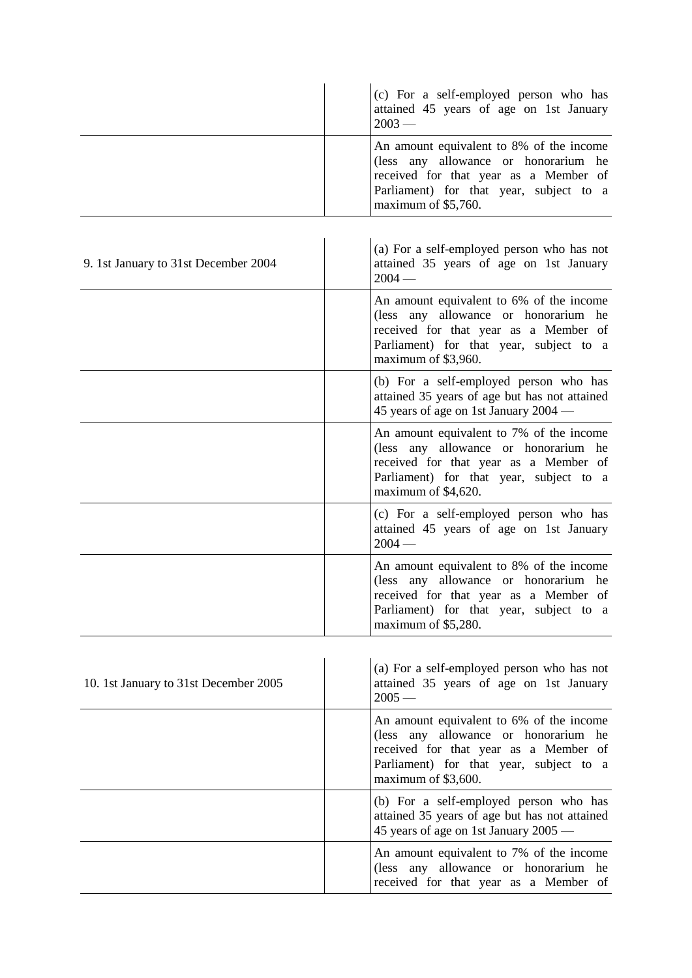|                                       | (c) For a self-employed person who has<br>attained 45 years of age on 1st January<br>$2003 -$                                                                                               |
|---------------------------------------|---------------------------------------------------------------------------------------------------------------------------------------------------------------------------------------------|
|                                       | An amount equivalent to 8% of the income<br>(less any allowance or honorarium he<br>received for that year as a Member of<br>Parliament) for that year, subject to a<br>maximum of \$5,760. |
| 9. 1st January to 31st December 2004  | (a) For a self-employed person who has not<br>attained 35 years of age on 1st January<br>$2004 -$                                                                                           |
|                                       | An amount equivalent to 6% of the income<br>(less any allowance or honorarium he<br>received for that year as a Member of<br>Parliament) for that year, subject to a<br>maximum of \$3,960. |
|                                       | (b) For a self-employed person who has<br>attained 35 years of age but has not attained<br>45 years of age on 1st January 2004 —                                                            |
|                                       | An amount equivalent to 7% of the income<br>(less any allowance or honorarium he<br>received for that year as a Member of<br>Parliament) for that year, subject to a<br>maximum of \$4,620. |
|                                       | (c) For a self-employed person who has<br>attained 45 years of age on 1st January<br>$2004 -$                                                                                               |
|                                       | An amount equivalent to 8% of the income<br>(less any allowance or honorarium he<br>received for that year as a Member of<br>Parliament) for that year, subject to a<br>maximum of \$5,280. |
| 10. 1st January to 31st December 2005 | (a) For a self-employed person who has not<br>attained 35 years of age on 1st January<br>$2005 -$                                                                                           |
|                                       | An amount equivalent to 6% of the income<br>(less any allowance or honorarium he<br>received for that year as a Member of<br>Parliament) for that year, subject to a<br>maximum of \$3,600. |
|                                       | (b) For a self-employed person who has<br>attained 35 years of age but has not attained<br>45 years of age on 1st January 2005 —                                                            |

An amount equivalent to 7% of the income (less any allowance or honorarium he received for that year as a Member of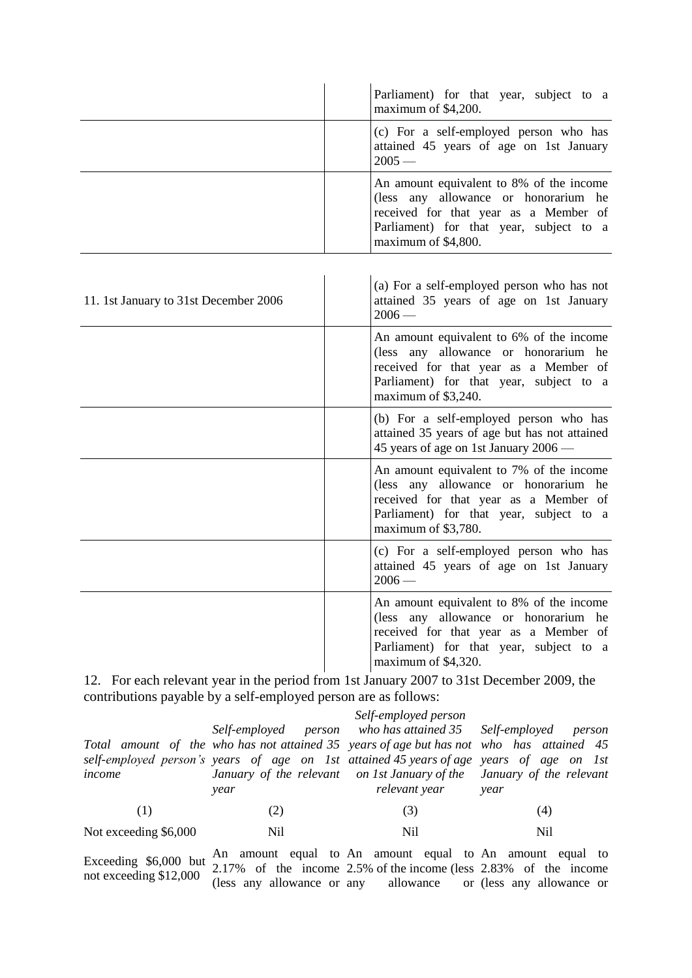|                                       | Parliament) for that year, subject to a<br>maximum of \$4,200.                                                                                                                              |
|---------------------------------------|---------------------------------------------------------------------------------------------------------------------------------------------------------------------------------------------|
|                                       | (c) For a self-employed person who has<br>attained 45 years of age on 1st January<br>$2005 -$                                                                                               |
|                                       | An amount equivalent to 8% of the income<br>(less any allowance or honorarium he<br>received for that year as a Member of<br>Parliament) for that year, subject to a<br>maximum of \$4,800. |
| 11. 1st January to 31st December 2006 | (a) For a self-employed person who has not<br>attained 35 years of age on 1st January<br>$2006-$                                                                                            |
|                                       | An amount equivalent to 6% of the income<br>(less any allowance or honorarium he<br>received for that year as a Member of<br>Parliament) for that year, subject to a<br>maximum of \$3,240. |
|                                       | (b) For a self-employed person who has<br>attained 35 years of age but has not attained<br>45 years of age on 1st January 2006 —                                                            |
|                                       | An amount equivalent to 7% of the income<br>(less any allowance or honorarium he<br>received for that year as a Member of<br>Parliament) for that year, subject to a<br>maximum of \$3,780. |
|                                       | (c) For a self-employed person who has<br>attained 45 years of age on 1st January<br>$2006-$                                                                                                |
|                                       | An amount equivalent to 8% of the income<br>(less any allowance or honorarium he<br>received for that year as a Member of<br>Parliament) for that year, subject to a<br>maximum of \$4,320. |

12. For each relevant year in the period from 1st January 2007 to 31st December 2009, the contributions payable by a self-employed person are as follows:

|                       |                                                                                          | Self-employed person |      |
|-----------------------|------------------------------------------------------------------------------------------|----------------------|------|
|                       | Self-employed person who has attained 35 Self-employed person                            |                      |      |
|                       | Total amount of the who has not attained 35 years of age but has not who has attained 45 |                      |      |
|                       | self-employed person's years of age on 1st attained 45 years of age years of age on 1st  |                      |      |
| income                | January of the relevant on 1st January of the January of the relevant                    |                      |      |
|                       | year                                                                                     | relevant year        | year |
| (1)                   | (2)                                                                                      | (3)                  | (4)  |
| Not exceeding \$6,000 | Nil                                                                                      | Nil                  | Nil  |

Exceeding \$6,000 but  $\frac{\text{An amount equal to}}{2.17\%}$ not exceeding \$12,000 2.17% of the income (less any allowance or any allowance or (less any allowance or An amount equal to 2.5% of the income (less An amount equal to 2.83% of the income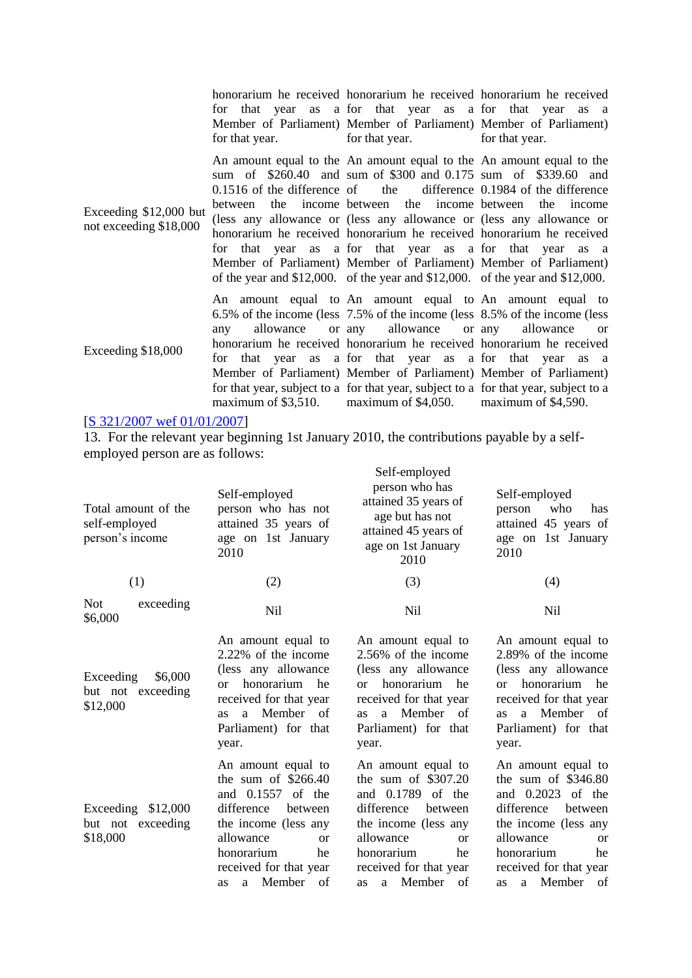|                                                  | for that year.                               | honorarium he received honorarium he received honorarium he received<br>for that year as a for that year as a for that year as a<br>Member of Parliament) Member of Parliament) Member of Parliament)<br>for that year.                                                                                                                                                                                                                                                                                                                           | for that year.                                    |
|--------------------------------------------------|----------------------------------------------|---------------------------------------------------------------------------------------------------------------------------------------------------------------------------------------------------------------------------------------------------------------------------------------------------------------------------------------------------------------------------------------------------------------------------------------------------------------------------------------------------------------------------------------------------|---------------------------------------------------|
| Exceeding \$12,000 but<br>not exceeding \$18,000 | $0.1516$ of the difference of the<br>between | An amount equal to the An amount equal to the An amount equal to the<br>sum of \$260.40 and sum of \$300 and 0.175 sum of \$339.60 and<br>the income between the income between<br>(less any allowance or (less any allowance or (less any allowance or<br>honorarium he received honorarium he received honorarium he received<br>for that year as a for that year as a for that year as a<br>Member of Parliament) Member of Parliament) Member of Parliament)<br>of the year and \$12,000. of the year and \$12,000. of the year and \$12,000. | difference 0.1984 of the difference<br>the income |
| Exceeding \$18,000                               | allowance<br>any<br>maximum of $$3,510$ .    | An amount equal to An amount equal to An amount equal to<br>6.5% of the income (less 7.5% of the income (less 8.5% of the income (less<br>or any allowance or any<br>honorarium he received honorarium he received honorarium he received<br>for that year as a for that year as a for that year as a<br>Member of Parliament) Member of Parliament) Member of Parliament)<br>for that year, subject to a for that year, subject to a for that year, subject to a<br>maximum of $$4,050$ .                                                        | allowance<br>or<br>maximum of \$4,590.            |

#### [\[S 321/2007 wef 01/01/2007\]](http://statutes.agc.gov.sg/aol/search/display/view.w3p;page=0;query=DocId%3A%2244b9b55d-7ad1-4be7-a679-93072ed0ef0e%22%20Status%3Apublished%20Depth%3A0%20TransactionTime%3A20130521000000;rec=0)

13. For the relevant year beginning 1st January 2010, the contributions payable by a selfemployed person are as follows:

| Total amount of the<br>self-employed<br>person's income | Self-employed<br>person who has not<br>attained 35 years of<br>age on 1st January<br>2010                                                                                                                                      | Self-employed<br>person who has<br>attained 35 years of<br>age but has not<br>attained 45 years of<br>age on 1st January<br>2010                                                                                            | Self-employed<br>who<br>has<br>person<br>attained 45 years of<br>age on 1st January<br>2010                                                                                                                                       |
|---------------------------------------------------------|--------------------------------------------------------------------------------------------------------------------------------------------------------------------------------------------------------------------------------|-----------------------------------------------------------------------------------------------------------------------------------------------------------------------------------------------------------------------------|-----------------------------------------------------------------------------------------------------------------------------------------------------------------------------------------------------------------------------------|
| (1)                                                     | (2)                                                                                                                                                                                                                            | (3)                                                                                                                                                                                                                         | (4)                                                                                                                                                                                                                               |
| <b>Not</b><br>exceeding<br>\$6,000                      | Nil                                                                                                                                                                                                                            | Nil                                                                                                                                                                                                                         | N <sub>il</sub>                                                                                                                                                                                                                   |
| \$6,000<br>Exceeding<br>but not exceeding<br>\$12,000   | An amount equal to<br>2.22% of the income<br>(less any allowance<br>honorarium<br>he<br><sub>or</sub><br>received for that year<br>Member of<br>a<br><b>as</b><br>Parliament) for that<br>year.                                | An amount equal to<br>2.56% of the income<br>(less any allowance<br>honorarium<br>he<br>$\alpha$<br>received for that year<br>Member of<br>a.<br><b>as</b><br>Parliament) for that<br>year.                                 | An amount equal to<br>2.89% of the income<br>(less any allowance)<br>honorarium<br>he<br>$\alpha$<br>received for that year<br>Member<br><sub>of</sub><br>a<br><b>as</b><br>Parliament) for that<br>year.                         |
| Exceeding \$12,000<br>but not exceeding<br>\$18,000     | An amount equal to<br>the sum of $$266.40$<br>and 0.1557<br>of the<br>difference<br>between<br>the income (less any<br>allowance<br><sub>or</sub><br>honorarium<br>he<br>received for that year<br>Member of<br>a<br><b>as</b> | An amount equal to<br>the sum of $$307.20$<br>and 0.1789<br>of the<br>difference<br>between<br>the income (less any<br>allowance<br><sub>or</sub><br>honorarium<br>he<br>received for that year<br>a Member of<br><b>as</b> | An amount equal to<br>the sum of $$346.80$<br>and 0.2023<br>of the<br>difference<br>between<br>the income (less any<br>allowance<br><sub>or</sub><br>honorarium<br>he<br>received for that year<br>Member<br>of<br>a<br><b>as</b> |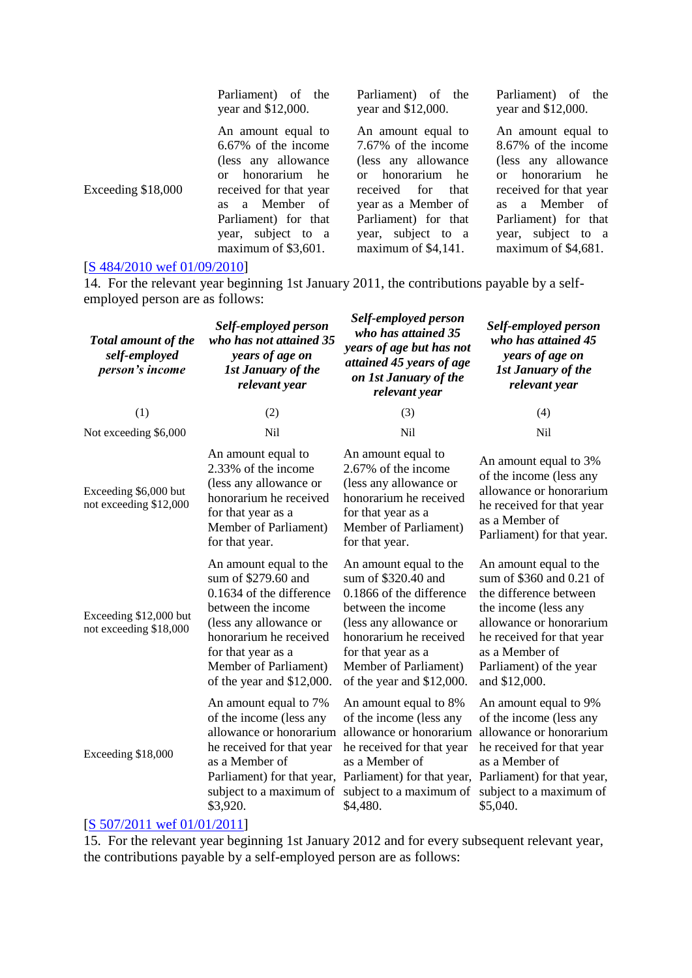Parliament) of the year and \$12,000.

An amount equal to 6.67% of the income (less any allowance or honorarium he received for that year as a Member of Parliament) for that year, subject to a maximum of \$3,601.

Parliament) of the year and \$12,000.

An amount equal to 7.67% of the income (less any allowance or honorarium he received for that year as a Member of Parliament) for that year, subject to a maximum of \$4,141.

Parliament) of the year and \$12,000.

An amount equal to 8.67% of the income (less any allowance or honorarium he received for that year as a Member of Parliament) for that year, subject to a maximum of \$4,681.

#### [\[S 484/2010 wef 01/09/2010\]](http://statutes.agc.gov.sg/aol/search/display/view.w3p;page=0;query=DocId%3A%22d60c07fc-8a7a-4add-b498-24e7e15ea78c%22%20Status%3Apublished%20Depth%3A0%20TransactionTime%3A20130521000000;rec=0)

Exceeding \$18,000

14. For the relevant year beginning 1st January 2011, the contributions payable by a selfemployed person are as follows:

| <b>Total amount of the</b><br>self-employed<br>person's income | Self-employed person<br>who has not attained 35<br>years of age on<br><b>1st January of the</b><br>relevant year                                                                                                                | Self-employed person<br>who has attained 35<br>years of age but has not<br>attained 45 years of age<br>on 1st January of the<br>relevant year                                                                                   | Self-employed person<br>who has attained 45<br>years of age on<br><b>1st January of the</b><br>relevant year                                                                                                               |
|----------------------------------------------------------------|---------------------------------------------------------------------------------------------------------------------------------------------------------------------------------------------------------------------------------|---------------------------------------------------------------------------------------------------------------------------------------------------------------------------------------------------------------------------------|----------------------------------------------------------------------------------------------------------------------------------------------------------------------------------------------------------------------------|
| (1)                                                            | (2)                                                                                                                                                                                                                             | (3)                                                                                                                                                                                                                             | (4)                                                                                                                                                                                                                        |
| Not exceeding \$6,000                                          | N <sub>i</sub> l                                                                                                                                                                                                                | <b>Nil</b>                                                                                                                                                                                                                      | Nil                                                                                                                                                                                                                        |
| Exceeding \$6,000 but<br>not exceeding \$12,000                | An amount equal to<br>2.33% of the income<br>(less any allowance or<br>honorarium he received<br>for that year as a<br>Member of Parliament)<br>for that year.                                                                  | An amount equal to<br>2.67% of the income<br>(less any allowance or<br>honorarium he received<br>for that year as a<br>Member of Parliament)<br>for that year.                                                                  | An amount equal to 3%<br>of the income (less any<br>allowance or honorarium<br>he received for that year<br>as a Member of<br>Parliament) for that year.                                                                   |
| Exceeding \$12,000 but<br>not exceeding \$18,000               | An amount equal to the<br>sum of \$279.60 and<br>0.1634 of the difference<br>between the income<br>(less any allowance or<br>honorarium he received<br>for that year as a<br>Member of Parliament)<br>of the year and \$12,000. | An amount equal to the<br>sum of \$320.40 and<br>0.1866 of the difference<br>between the income<br>(less any allowance or<br>honorarium he received<br>for that year as a<br>Member of Parliament)<br>of the year and \$12,000. | An amount equal to the<br>sum of \$360 and 0.21 of<br>the difference between<br>the income (less any<br>allowance or honorarium<br>he received for that year<br>as a Member of<br>Parliament) of the year<br>and \$12,000. |
| Exceeding \$18,000                                             | An amount equal to 7%<br>of the income (less any<br>allowance or honorarium<br>he received for that year<br>as a Member of<br>subject to a maximum of<br>\$3,920.                                                               | An amount equal to 8%<br>of the income (less any<br>allowance or honorarium<br>he received for that year<br>as a Member of<br>Parliament) for that year, Parliament) for that year,<br>subject to a maximum of<br>\$4,480.      | An amount equal to 9%<br>of the income (less any<br>allowance or honorarium<br>he received for that year<br>as a Member of<br>Parliament) for that year,<br>subject to a maximum of<br>\$5,040.                            |

#### [\[S 507/2011 wef 01/01/2011\]](http://statutes.agc.gov.sg/aol/search/display/view.w3p;page=0;query=DocId%3A%228e98b229-a5fb-44d9-8019-1dbefd6e49b7%22%20Status%3Apublished%20Depth%3A0%20TransactionTime%3A20130521000000;rec=0)

15. For the relevant year beginning 1st January 2012 and for every subsequent relevant year, the contributions payable by a self-employed person are as follows: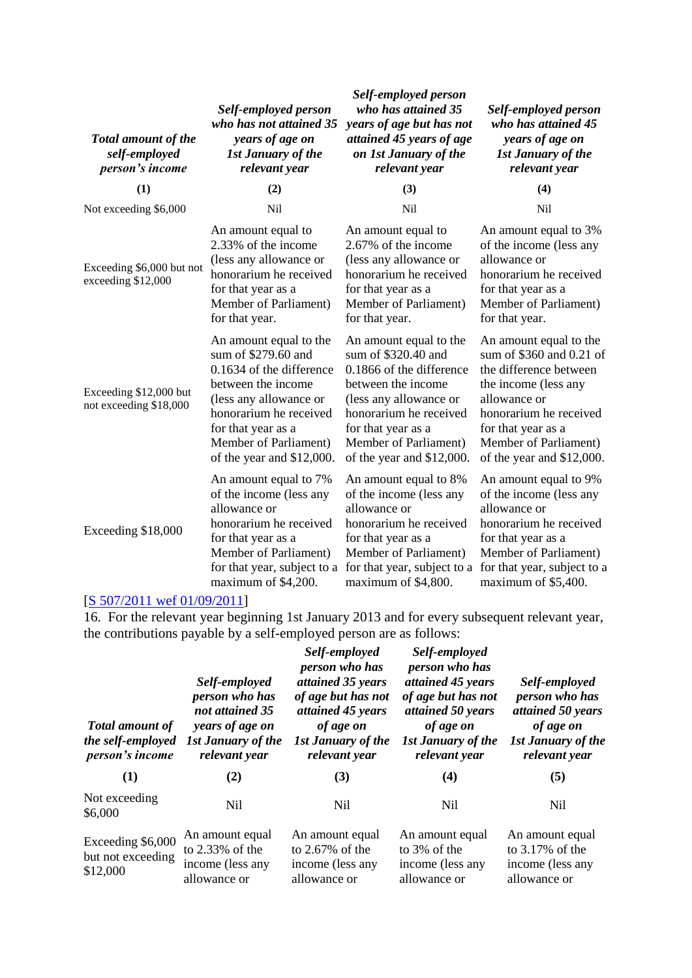| <b>Total amount of the</b><br>self-employed<br>person's income | Self-employed person<br>who has not attained 35<br>years of age on<br><b>1st January of the</b><br>relevant year                                                                                                                | Self-employed person<br>who has attained 35<br>years of age but has not<br>attained 45 years of age<br>on 1st January of the<br>relevant year                                                                                   | Self-employed person<br>who has attained 45<br>years of age on<br><b>1st January of the</b><br>relevant year                                                                                                               |
|----------------------------------------------------------------|---------------------------------------------------------------------------------------------------------------------------------------------------------------------------------------------------------------------------------|---------------------------------------------------------------------------------------------------------------------------------------------------------------------------------------------------------------------------------|----------------------------------------------------------------------------------------------------------------------------------------------------------------------------------------------------------------------------|
| (1)                                                            | (2)                                                                                                                                                                                                                             | (3)                                                                                                                                                                                                                             | (4)                                                                                                                                                                                                                        |
| Not exceeding \$6,000                                          | Nil                                                                                                                                                                                                                             | Nil                                                                                                                                                                                                                             | <b>Nil</b>                                                                                                                                                                                                                 |
| Exceeding \$6,000 but not<br>exceeding \$12,000                | An amount equal to<br>2.33% of the income<br>(less any allowance or<br>honorarium he received<br>for that year as a<br>Member of Parliament)<br>for that year.                                                                  | An amount equal to<br>2.67% of the income<br>(less any allowance or<br>honorarium he received<br>for that year as a<br>Member of Parliament)<br>for that year.                                                                  | An amount equal to 3%<br>of the income (less any<br>allowance or<br>honorarium he received<br>for that year as a<br>Member of Parliament)<br>for that year.                                                                |
| Exceeding \$12,000 but<br>not exceeding \$18,000               | An amount equal to the<br>sum of \$279.60 and<br>0.1634 of the difference<br>between the income<br>(less any allowance or<br>honorarium he received<br>for that year as a<br>Member of Parliament)<br>of the year and \$12,000. | An amount equal to the<br>sum of \$320.40 and<br>0.1866 of the difference<br>between the income<br>(less any allowance or<br>honorarium he received<br>for that year as a<br>Member of Parliament)<br>of the year and \$12,000. | An amount equal to the<br>sum of \$360 and 0.21 of<br>the difference between<br>the income (less any<br>allowance or<br>honorarium he received<br>for that year as a<br>Member of Parliament)<br>of the year and \$12,000. |
| Exceeding \$18,000                                             | An amount equal to 7%<br>of the income (less any<br>allowance or<br>honorarium he received<br>for that year as a<br>Member of Parliament)<br>for that year, subject to a<br>maximum of \$4,200.                                 | An amount equal to 8%<br>of the income (less any<br>allowance or<br>honorarium he received<br>for that year as a<br>Member of Parliament)<br>for that year, subject to a<br>maximum of \$4,800.                                 | An amount equal to 9%<br>of the income (less any<br>allowance or<br>honorarium he received<br>for that year as a<br>Member of Parliament)<br>for that year, subject to a<br>maximum of \$5,400.                            |

#### [\[S 507/2011 wef 01/09/2011\]](http://statutes.agc.gov.sg/aol/search/display/view.w3p;page=0;query=DocId%3A%228e98b229-a5fb-44d9-8019-1dbefd6e49b7%22%20Status%3Apublished%20Depth%3A0%20TransactionTime%3A20130521000000;rec=0)

16. For the relevant year beginning 1st January 2013 and for every subsequent relevant year, the contributions payable by a self-employed person are as follows:

| <b>Total amount of</b><br>the self-employed<br>person's income | Self-employed<br>person who has<br>not attained 35<br>years of age on<br><b>1st January of the</b><br>relevant year | Self-employed<br>person who has<br>attained 35 years<br>of age but has not<br>attained 45 years<br>of age on<br><b>1st January of the</b><br>relevant year | Self-employed<br>person who has<br>attained 45 years<br>of age but has not<br>attained 50 years<br>of age on<br><b>1st January of the</b><br>relevant year | Self-employed<br>person who has<br>attained 50 years<br>of age on<br><b>1st January of the</b><br>relevant year |
|----------------------------------------------------------------|---------------------------------------------------------------------------------------------------------------------|------------------------------------------------------------------------------------------------------------------------------------------------------------|------------------------------------------------------------------------------------------------------------------------------------------------------------|-----------------------------------------------------------------------------------------------------------------|
| (1)                                                            | (2)                                                                                                                 | (3)                                                                                                                                                        | (4)                                                                                                                                                        | (5)                                                                                                             |
| Not exceeding<br>\$6,000                                       | Nil                                                                                                                 | Nil.                                                                                                                                                       | Nil                                                                                                                                                        | Nil                                                                                                             |
| Exceeding \$6,000<br>but not exceeding<br>\$12,000             | An amount equal<br>to $2.33\%$ of the<br>income (less any<br>allowance or                                           | An amount equal<br>to $2.67\%$ of the<br>income (less any<br>allowance or                                                                                  | An amount equal<br>to 3% of the<br>income (less any<br>allowance or                                                                                        | An amount equal<br>to $3.17\%$ of the<br>income (less any<br>allowance or                                       |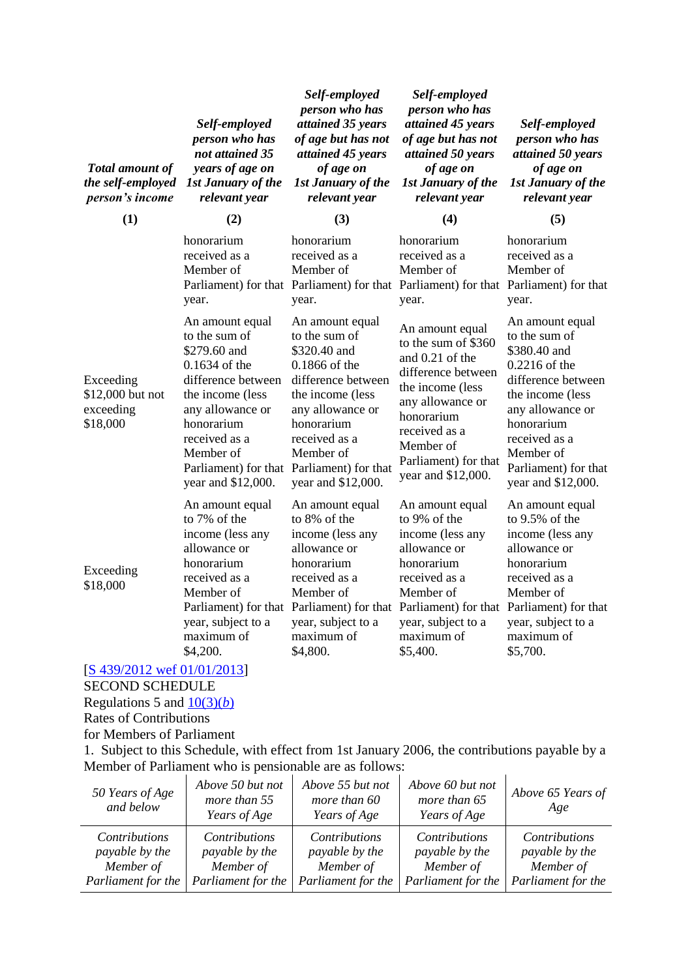| <b>Total amount of</b><br>the self-employed<br>person's income | Self-employed<br>person who has<br>not attained 35<br>years of age on<br><b>1st January of the</b><br>relevant year                                                                                                                              | Self-employed<br>person who has<br>attained 35 years<br>of age but has not<br>attained 45 years<br>of age on<br><b>1st January of the</b><br>relevant year                                                   | Self-employed<br>person who has<br>attained 45 years<br>of age but has not<br>attained 50 years<br>of age on<br><b>1st January of the</b><br>relevant year                                                        | Self-employed<br>person who has<br>attained 50 years<br>of age on<br><b>1st January of the</b><br>relevant year                                                                                                           |
|----------------------------------------------------------------|--------------------------------------------------------------------------------------------------------------------------------------------------------------------------------------------------------------------------------------------------|--------------------------------------------------------------------------------------------------------------------------------------------------------------------------------------------------------------|-------------------------------------------------------------------------------------------------------------------------------------------------------------------------------------------------------------------|---------------------------------------------------------------------------------------------------------------------------------------------------------------------------------------------------------------------------|
| (1)                                                            | (2)                                                                                                                                                                                                                                              | (3)                                                                                                                                                                                                          | (4)                                                                                                                                                                                                               | (5)                                                                                                                                                                                                                       |
|                                                                | honorarium<br>received as a<br>Member of<br>year.                                                                                                                                                                                                | honorarium<br>received as a<br>Member of<br>Parliament) for that Parliament) for that Parliament) for that Parliament) for that<br>year.                                                                     | honorarium<br>received as a<br>Member of<br>year.                                                                                                                                                                 | honorarium<br>received as a<br>Member of<br>year.                                                                                                                                                                         |
| Exceeding<br>\$12,000 but not<br>exceeding<br>\$18,000         | An amount equal<br>to the sum of<br>\$279.60 and<br>$0.1634$ of the<br>difference between<br>the income (less<br>any allowance or<br>honorarium<br>received as a<br>Member of<br>Parliament) for that Parliament) for that<br>year and \$12,000. | An amount equal<br>to the sum of<br>\$320.40 and<br>0.1866 of the<br>difference between<br>the income (less<br>any allowance or<br>honorarium<br>received as a<br>Member of<br>year and \$12,000.            | An amount equal<br>to the sum of \$360<br>and 0.21 of the<br>difference between<br>the income (less<br>any allowance or<br>honorarium<br>received as a<br>Member of<br>Parliament) for that<br>year and \$12,000. | An amount equal<br>to the sum of<br>\$380.40 and<br>0.2216 of the<br>difference between<br>the income (less<br>any allowance or<br>honorarium<br>received as a<br>Member of<br>Parliament) for that<br>year and \$12,000. |
| Exceeding<br>\$18,000                                          | An amount equal<br>to 7% of the<br>income (less any<br>allowance or<br>honorarium<br>received as a<br>Member of<br>year, subject to a<br>maximum of<br>\$4,200.                                                                                  | An amount equal<br>to 8% of the<br>income (less any<br>allowance or<br>honorarium<br>received as a<br>Member of<br>Parliament) for that Parliament) for that<br>year, subject to a<br>maximum of<br>\$4,800. | An amount equal<br>to 9% of the<br>income (less any<br>allowance or<br>honorarium<br>received as a<br>Member of<br>Parliament) for that Parliament) for that<br>year, subject to a<br>maximum of<br>\$5,400.      | An amount equal<br>to 9.5% of the<br>income (less any<br>allowance or<br>honorarium<br>received as a<br>Member of<br>year, subject to a<br>maximum of<br>\$5,700.                                                         |

#### [\[S 439/2012 wef 01/01/2013\]](http://statutes.agc.gov.sg/aol/search/display/view.w3p;page=0;query=DocId%3A%22468749d3-3e2f-489d-95b8-d65f566e5a8b%22%20Status%3Apublished%20Depth%3A0%20TransactionTime%3A20130521000000;rec=0) SECOND SCHEDULE

Regulations 5 and  $\frac{10(3)(b)}{2}$ 

Rates of Contributions

for Members of Parliament

1. Subject to this Schedule, with effect from 1st January 2006, the contributions payable by a Member of Parliament who is pensionable are as follows:

| 50 Years of Age<br>and below | Above 50 but not<br>more than 55<br>Years of Age | Above 55 but not<br>more than 60<br>Years of Age | Above 60 but not<br>more than 65<br>Years of Age | Above 65 Years of<br>Age |
|------------------------------|--------------------------------------------------|--------------------------------------------------|--------------------------------------------------|--------------------------|
| <i>Contributions</i>         | <i>Contributions</i>                             | <b>Contributions</b>                             | <i>Contributions</i>                             | <i>Contributions</i>     |
| <i>payable by the</i>        | payable by the                                   | payable by the                                   | payable by the                                   | payable by the           |
| Member of                    | Member of                                        | Member of                                        | Member of                                        | Member of                |
| Parliament for the           | Parliament for the                               | Parliament for the                               | Parliament for the                               | Parliament for the       |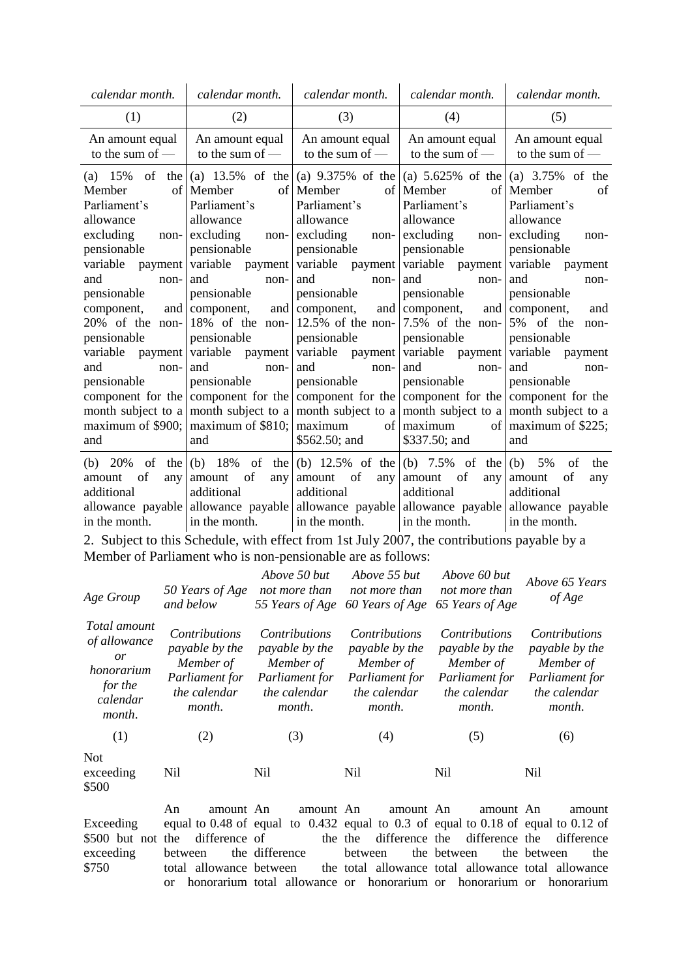| calendar month.<br>calendar month.                                                                                                                                                                                                                                                                                                           |                                                                                                                                                                                                                                                                                                                                           | calendar month.                                                                                                                                                                                                                                                                                | calendar month.                                                                                                                                                                                                                                                                                                                                                                                                                                | calendar month.                                                                                                                                                                                                                                                                    |
|----------------------------------------------------------------------------------------------------------------------------------------------------------------------------------------------------------------------------------------------------------------------------------------------------------------------------------------------|-------------------------------------------------------------------------------------------------------------------------------------------------------------------------------------------------------------------------------------------------------------------------------------------------------------------------------------------|------------------------------------------------------------------------------------------------------------------------------------------------------------------------------------------------------------------------------------------------------------------------------------------------|------------------------------------------------------------------------------------------------------------------------------------------------------------------------------------------------------------------------------------------------------------------------------------------------------------------------------------------------------------------------------------------------------------------------------------------------|------------------------------------------------------------------------------------------------------------------------------------------------------------------------------------------------------------------------------------------------------------------------------------|
| (1)<br>(2)                                                                                                                                                                                                                                                                                                                                   |                                                                                                                                                                                                                                                                                                                                           | (3)                                                                                                                                                                                                                                                                                            | (4)                                                                                                                                                                                                                                                                                                                                                                                                                                            | (5)                                                                                                                                                                                                                                                                                |
| An amount equal<br>An amount equal<br>to the sum of $-$<br>to the sum of -                                                                                                                                                                                                                                                                   |                                                                                                                                                                                                                                                                                                                                           | An amount equal<br>to the sum of $-$                                                                                                                                                                                                                                                           | An amount equal<br>to the sum of $-$                                                                                                                                                                                                                                                                                                                                                                                                           | An amount equal<br>to the sum of -                                                                                                                                                                                                                                                 |
| of<br>(a) $15\%$<br>the I<br>Member<br>Parliament's<br>allowance<br>excluding<br>non-<br>pensionable<br>variable<br>payment<br>and<br>non-<br>pensionable<br>and<br>component,<br>20% of the non-<br>pensionable<br>variable<br>payment<br>and<br>non-<br>pensionable<br>component for the<br>month subject to a<br>maximum of \$900;<br>and | (a) $13.5\%$ of the<br>of Member<br>Parliament's<br>allowance<br>excluding<br>non-<br>pensionable<br>variable<br>payment<br>and<br>non-<br>pensionable<br>component,<br>and<br>18% of the non-<br>pensionable<br>variable<br>payment<br>and<br>non-<br>pensionable<br>component for the<br>month subject to a<br>maximum of \$810;<br>and | of Member<br>Parliament's<br>allowance<br>excluding<br>non-<br>pensionable<br>variable<br>payment<br>and<br>non-<br>pensionable<br>component,<br>$12.5\%$ of the non-<br>pensionable<br>variable payment<br>and<br>non-<br>pensionable<br>month subject to a<br>maximum<br>of<br>\$562.50; and | (a) $9.375\%$ of the $ (a)$ 5.625% of the $ (a)$ 3.75% of the<br>of Member<br>Parliament's<br>allowance<br>excluding<br>non-<br>pensionable<br>variable<br>payment variable<br>and<br>non-<br>pensionable<br>and component,<br>7.5% of the non-<br>pensionable<br>variable payment<br>and<br>non-<br>pensionable<br>component for the component for the component for the<br>month subject to a month subject to a<br>maximum<br>\$337.50; and | of Member<br>of<br>Parliament's<br>allowance<br>excluding<br>non-<br>pensionable<br>payment<br>and<br>non-<br>pensionable<br>and component,<br>and<br>5% of the<br>non-<br>pensionable<br>variable<br>payment<br>and<br>non-<br>pensionable<br>of $\vert$ maximum of \$225;<br>and |
| (b) $20\%$<br>of<br>of<br>any<br>amount<br>additional<br>in the month.                                                                                                                                                                                                                                                                       | the $(b)$ 18% of the<br>of<br>amount<br>any<br>additional<br>in the month.                                                                                                                                                                                                                                                                | of<br>amount<br>any<br>additional<br>in the month.                                                                                                                                                                                                                                             | (b) 12.5% of the (b) 7.5% of the (b)<br>of<br>amount<br>any<br>additional<br>allowance payable allowance payable allowance payable allowance payable allowance payable<br>in the month.                                                                                                                                                                                                                                                        | 5%<br>of<br>the<br>of<br>amount<br>any<br>additional<br>in the month.                                                                                                                                                                                                              |

2. Subject to this Schedule, with effect from 1st July 2007, the contributions payable by a Member of Parliament who is non-pensionable are as follows:

| Age Group                                                                         | 50 Years of Age<br>and below                                                                    | Above 50 but<br>not more than                                                                          | Above 55 but<br>not more than<br>55 Years of Age 60 Years of Age                                | Above 60 but<br>not more than<br>65 Years of Age                                                       | Above 65 Years<br>of Age                                                                               |
|-----------------------------------------------------------------------------------|-------------------------------------------------------------------------------------------------|--------------------------------------------------------------------------------------------------------|-------------------------------------------------------------------------------------------------|--------------------------------------------------------------------------------------------------------|--------------------------------------------------------------------------------------------------------|
| Total amount<br>of allowance<br>or<br>honorarium<br>for the<br>calendar<br>month. | <i>Contributions</i><br>payable by the<br>Member of<br>Parliament for<br>the calendar<br>month. | <i>Contributions</i><br>payable by the<br>Member of<br>Parliament for<br>the calendar<br><i>month.</i> | <i>Contributions</i><br>payable by the<br>Member of<br>Parliament for<br>the calendar<br>month. | <i>Contributions</i><br>payable by the<br>Member of<br>Parliament for<br>the calendar<br><i>month.</i> | <i>Contributions</i><br>payable by the<br>Member of<br>Parliament for<br>the calendar<br><i>month.</i> |
| (1)                                                                               | (2)                                                                                             | (3)                                                                                                    | (4)                                                                                             | (5)                                                                                                    | (6)                                                                                                    |
| <b>Not</b><br>exceeding<br>\$500                                                  | Nil                                                                                             | Nil                                                                                                    | Nil                                                                                             | Nil                                                                                                    | Nil                                                                                                    |

Exceeding \$500 but not the exceeding \$750 An amount An equal to 0.48 of equal to 0.432 equal to 0.3 of equal to 0.18 of equal to 0.12 of difference of between total allowance between the or honorarium total allowance or honorarium or honorarium or honorarium amount An the the the difference amount An difference the between total allowance total allowance total allowance amount An difference the the between amount difference between the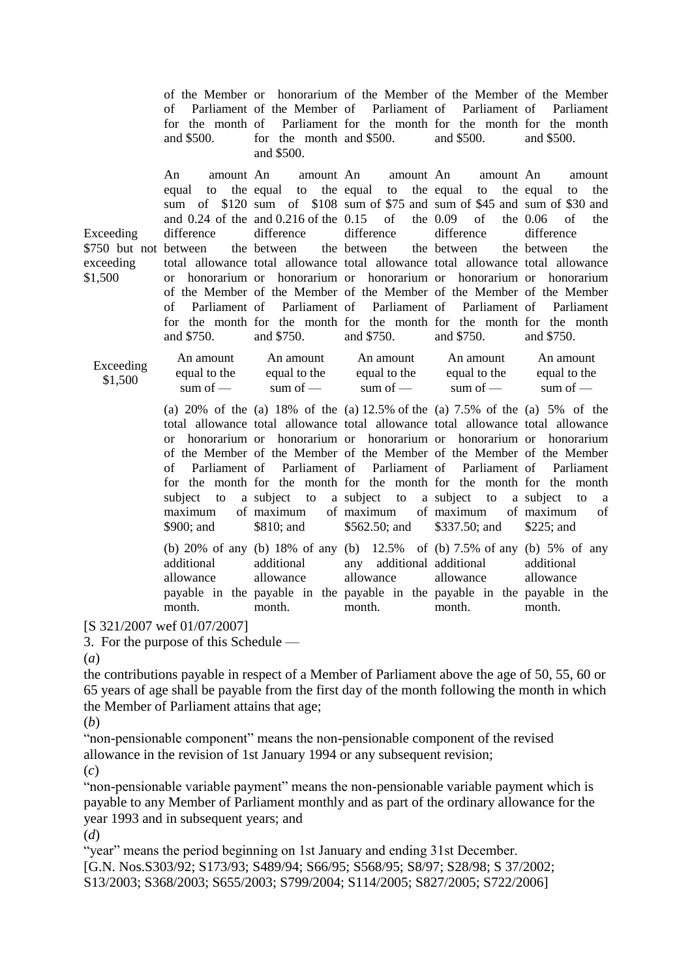|                                                            | of<br>and \$500.                                                                              | of the Member or honorarium of the Member of the Member of the Member<br>Parliament of the Member of Parliament of Parliament of Parliament<br>for the month of Parliament for the month for the month for the month<br>for the month and \$500.<br>and \$500.                                                                                                                                                                                                                                                                  |                                                                               | and \$500.                                                                                                                 | and \$500.                                                                                                                  |
|------------------------------------------------------------|-----------------------------------------------------------------------------------------------|---------------------------------------------------------------------------------------------------------------------------------------------------------------------------------------------------------------------------------------------------------------------------------------------------------------------------------------------------------------------------------------------------------------------------------------------------------------------------------------------------------------------------------|-------------------------------------------------------------------------------|----------------------------------------------------------------------------------------------------------------------------|-----------------------------------------------------------------------------------------------------------------------------|
| Exceeding<br>\$750 but not between<br>exceeding<br>\$1,500 | amount An<br>An<br>equal<br>to<br>difference<br>$\alpha$<br>Parliament of<br>of<br>and \$750. | amount An<br>the equal<br>to<br>sum of \$120 sum of \$108 sum of \$75 and sum of \$45 and sum of \$30 and<br>and $0.24$ of the and $0.216$ of the $0.15$<br>difference<br>the between<br>total allowance total allowance total allowance total allowance total allowance<br>honorarium or honorarium or honorarium or honorarium or honorarium<br>of the Member of the Member of the Member of the Member of the Member<br>Parliament of<br>for the month for the month for the month for the month for the month<br>and \$750. | amount An<br>the equal<br>to<br>of<br>difference<br>the between<br>and \$750. | amount An<br>the equal<br>to<br>the $0.09$<br>of<br>difference<br>the between<br>Parliament of Parliament of<br>and \$750. | amount<br>the equal<br>the<br>to<br>the $0.06$<br>οf<br>the<br>difference<br>the between<br>the<br>Parliament<br>and \$750. |
|                                                            |                                                                                               |                                                                                                                                                                                                                                                                                                                                                                                                                                                                                                                                 |                                                                               |                                                                                                                            |                                                                                                                             |
| Exceeding<br>\$1,500                                       | An amount<br>equal to the<br>sum of $-$                                                       | An amount<br>equal to the<br>sum of $-$                                                                                                                                                                                                                                                                                                                                                                                                                                                                                         | An amount<br>equal to the<br>sum of $-$                                       | An amount<br>equal to the<br>sum of $-$                                                                                    | An amount<br>equal to the<br>sum of $-$                                                                                     |
|                                                            | <sub>or</sub><br>Parliament of<br>оf<br>subject<br>to<br>maximum<br>\$900; and                | (a) $20\%$ of the (a) $18\%$ of the (a) $12.5\%$ of the (a) $7.5\%$ of the (a) $5\%$ of the<br>total allowance total allowance total allowance total allowance total allowance<br>honorarium or honorarium or honorarium or honorarium or honorarium<br>of the Member of the Member of the Member of the Member of the Member<br>Parliament of<br>for the month for the month for the month for the month for the month<br>a subject to<br>of maximum<br>\$810; and                                                             | a subject to a subject to<br>of maximum<br>$$562.50;$ and                     | Parliament of Parliament of<br>of maximum<br>\$337.50; and                                                                 | Parliament<br>a subject<br>to<br>a<br>of maximum<br>of<br>$$225$ ; and                                                      |

[S 321/2007 wef 01/07/2007]

3. For the purpose of this Schedule —

(*a*)

the contributions payable in respect of a Member of Parliament above the age of 50, 55, 60 or 65 years of age shall be payable from the first day of the month following the month in which the Member of Parliament attains that age;

(*b*)

"non-pensionable component" means the non-pensionable component of the revised allowance in the revision of 1st January 1994 or any subsequent revision;

(*c*)

"non-pensionable variable payment" means the non-pensionable variable payment which is payable to any Member of Parliament monthly and as part of the ordinary allowance for the year 1993 and in subsequent years; and

(*d*)

"year" means the period beginning on 1st January and ending 31st December. [G.N. Nos.S303/92; S173/93; S489/94; S66/95; S568/95; S8/97; S28/98; S 37/2002; S13/2003; S368/2003; S655/2003; S799/2004; S114/2005; S827/2005; S722/2006]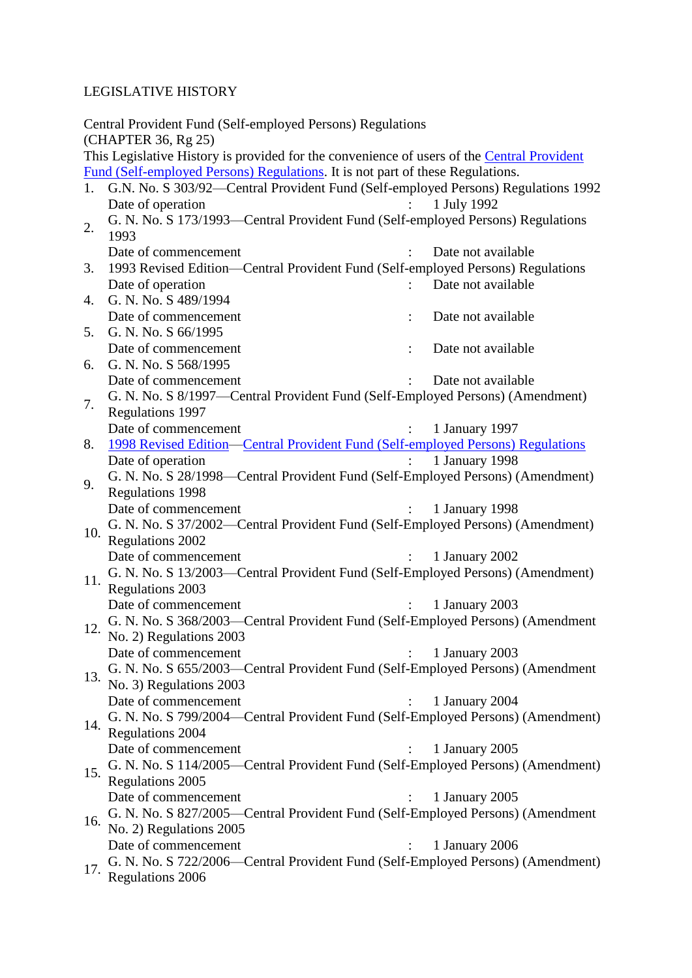# LEGISLATIVE HISTORY

|     | Central Provident Fund (Self-employed Persons) Regulations<br>(CHAPTER 36, Rg 25)          |  |  |  |  |
|-----|--------------------------------------------------------------------------------------------|--|--|--|--|
|     | This Legislative History is provided for the convenience of users of the Central Provident |  |  |  |  |
|     | Fund (Self-employed Persons) Regulations. It is not part of these Regulations.             |  |  |  |  |
| 1.  | G.N. No. S 303/92-Central Provident Fund (Self-employed Persons) Regulations 1992          |  |  |  |  |
|     | Date of operation<br>1 July 1992                                                           |  |  |  |  |
| 2.  |                                                                                            |  |  |  |  |
|     | G. N. No. S 173/1993-Central Provident Fund (Self-employed Persons) Regulations<br>1993    |  |  |  |  |
|     | Date of commencement<br>Date not available                                                 |  |  |  |  |
| 3.  | 1993 Revised Edition-Central Provident Fund (Self-employed Persons) Regulations            |  |  |  |  |
|     | Date of operation<br>Date not available                                                    |  |  |  |  |
| 4.  | G. N. No. S 489/1994                                                                       |  |  |  |  |
|     | Date of commencement<br>Date not available                                                 |  |  |  |  |
| 5.  | G. N. No. S 66/1995                                                                        |  |  |  |  |
|     | Date of commencement<br>Date not available                                                 |  |  |  |  |
| 6.  | G. N. No. S 568/1995                                                                       |  |  |  |  |
|     | Date of commencement<br>Date not available                                                 |  |  |  |  |
|     | G. N. No. S 8/1997-Central Provident Fund (Self-Employed Persons) (Amendment)              |  |  |  |  |
| 7.  | Regulations 1997                                                                           |  |  |  |  |
|     | Date of commencement<br>1 January 1997                                                     |  |  |  |  |
| 8.  | 1998 Revised Edition—Central Provident Fund (Self-employed Persons) Regulations            |  |  |  |  |
|     | Date of operation<br>1 January 1998                                                        |  |  |  |  |
|     | G. N. No. S 28/1998-Central Provident Fund (Self-Employed Persons) (Amendment)             |  |  |  |  |
| 9.  | <b>Regulations 1998</b>                                                                    |  |  |  |  |
|     | Date of commencement<br>1 January 1998                                                     |  |  |  |  |
|     | G. N. No. S 37/2002—Central Provident Fund (Self-Employed Persons) (Amendment)             |  |  |  |  |
| 10. | <b>Regulations 2002</b>                                                                    |  |  |  |  |
|     | Date of commencement<br>1 January 2002<br>$\mathcal{L}$                                    |  |  |  |  |
|     | G. N. No. S 13/2003—Central Provident Fund (Self-Employed Persons) (Amendment)             |  |  |  |  |
| 11. |                                                                                            |  |  |  |  |
|     | Regulations 2003                                                                           |  |  |  |  |
|     | Date of commencement<br>1 January 2003                                                     |  |  |  |  |
| 12. | G. N. No. S 368/2003—Central Provident Fund (Self-Employed Persons) (Amendment             |  |  |  |  |
|     | No. 2) Regulations 2003                                                                    |  |  |  |  |
|     | Date of commencement<br>1 January 2003                                                     |  |  |  |  |
| 13. | G. N. No. S 655/2003—Central Provident Fund (Self-Employed Persons) (Amendment             |  |  |  |  |
|     | No. 3) Regulations 2003                                                                    |  |  |  |  |
|     | Date of commencement<br>1 January 2004                                                     |  |  |  |  |
| 14. | G. N. No. S 799/2004—Central Provident Fund (Self-Employed Persons) (Amendment)            |  |  |  |  |
|     | <b>Regulations 2004</b>                                                                    |  |  |  |  |
|     | Date of commencement<br>1 January 2005                                                     |  |  |  |  |
| 15. | G. N. No. S 114/2005—Central Provident Fund (Self-Employed Persons) (Amendment)            |  |  |  |  |
|     | Regulations 2005                                                                           |  |  |  |  |
|     | Date of commencement<br>1 January 2005                                                     |  |  |  |  |
| 16. | G. N. No. S 827/2005—Central Provident Fund (Self-Employed Persons) (Amendment             |  |  |  |  |
|     | No. 2) Regulations 2005                                                                    |  |  |  |  |
|     | Date of commencement<br>1 January 2006                                                     |  |  |  |  |
|     | G. N. No. S 722/2006—Central Provident Fund (Self-Employed Persons) (Amendment)            |  |  |  |  |
| 17. | <b>Regulations 2006</b>                                                                    |  |  |  |  |